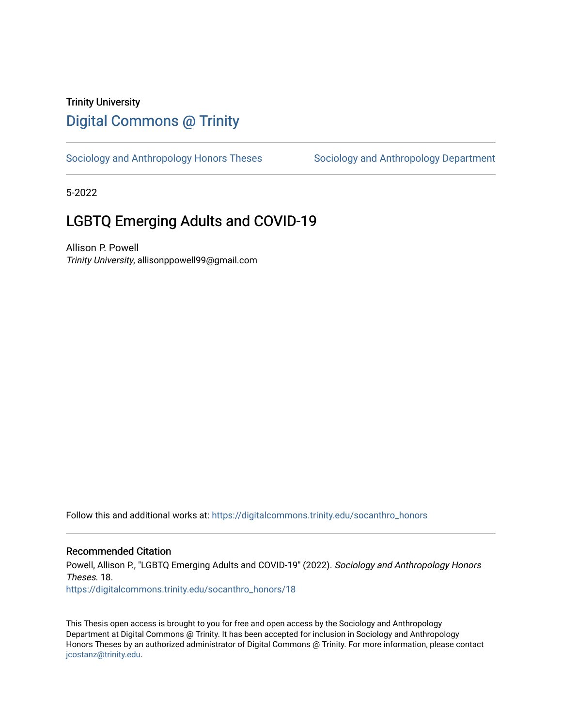# Trinity University [Digital Commons @ Trinity](https://digitalcommons.trinity.edu/)

[Sociology and Anthropology Honors Theses](https://digitalcommons.trinity.edu/socanthro_honors) Sociology and Anthropology Department

5-2022

# LGBTQ Emerging Adults and COVID-19

Allison P. Powell Trinity University, allisonppowell99@gmail.com

Follow this and additional works at: [https://digitalcommons.trinity.edu/socanthro\\_honors](https://digitalcommons.trinity.edu/socanthro_honors?utm_source=digitalcommons.trinity.edu%2Fsocanthro_honors%2F18&utm_medium=PDF&utm_campaign=PDFCoverPages) 

# Recommended Citation

Powell, Allison P., "LGBTQ Emerging Adults and COVID-19" (2022). Sociology and Anthropology Honors Theses. 18.

[https://digitalcommons.trinity.edu/socanthro\\_honors/18](https://digitalcommons.trinity.edu/socanthro_honors/18?utm_source=digitalcommons.trinity.edu%2Fsocanthro_honors%2F18&utm_medium=PDF&utm_campaign=PDFCoverPages)

This Thesis open access is brought to you for free and open access by the Sociology and Anthropology Department at Digital Commons @ Trinity. It has been accepted for inclusion in Sociology and Anthropology Honors Theses by an authorized administrator of Digital Commons @ Trinity. For more information, please contact [jcostanz@trinity.edu](mailto:jcostanz@trinity.edu).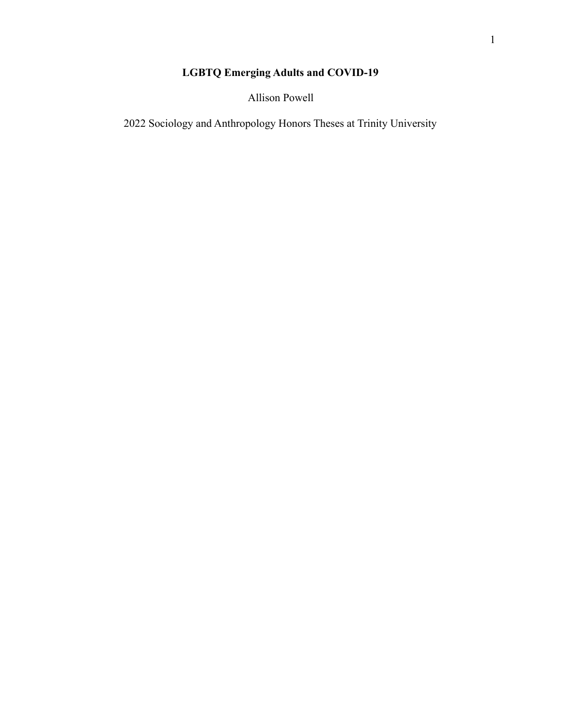# **LGBTQ Emerging Adults and COVID-19**

Allison Powell

2022 Sociology and Anthropology Honors Theses at Trinity University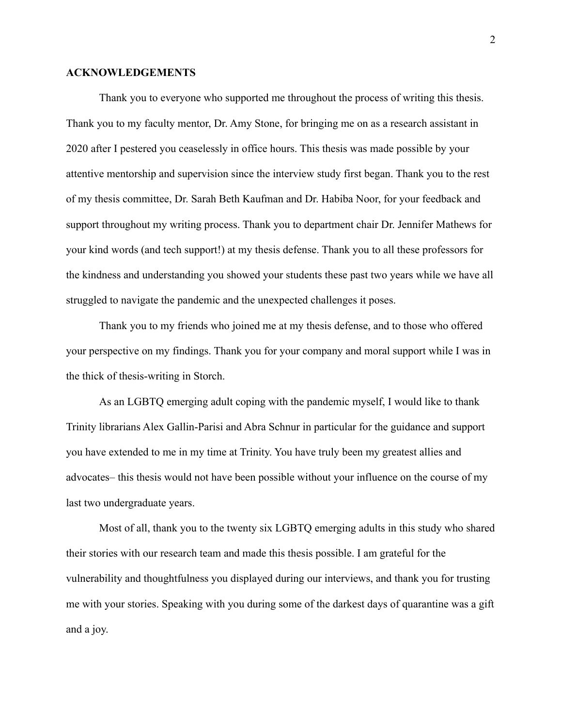#### **ACKNOWLEDGEMENTS**

Thank you to everyone who supported me throughout the process of writing this thesis. Thank you to my faculty mentor, Dr. Amy Stone, for bringing me on as a research assistant in 2020 after I pestered you ceaselessly in office hours. This thesis was made possible by your attentive mentorship and supervision since the interview study first began. Thank you to the rest of my thesis committee, Dr. Sarah Beth Kaufman and Dr. Habiba Noor, for your feedback and support throughout my writing process. Thank you to department chair Dr. Jennifer Mathews for your kind words (and tech support!) at my thesis defense. Thank you to all these professors for the kindness and understanding you showed your students these past two years while we have all struggled to navigate the pandemic and the unexpected challenges it poses.

Thank you to my friends who joined me at my thesis defense, and to those who offered your perspective on my findings. Thank you for your company and moral support while I was in the thick of thesis-writing in Storch.

As an LGBTQ emerging adult coping with the pandemic myself, I would like to thank Trinity librarians Alex Gallin-Parisi and Abra Schnur in particular for the guidance and support you have extended to me in my time at Trinity. You have truly been my greatest allies and advocates– this thesis would not have been possible without your influence on the course of my last two undergraduate years.

Most of all, thank you to the twenty six LGBTQ emerging adults in this study who shared their stories with our research team and made this thesis possible. I am grateful for the vulnerability and thoughtfulness you displayed during our interviews, and thank you for trusting me with your stories. Speaking with you during some of the darkest days of quarantine was a gift and a joy.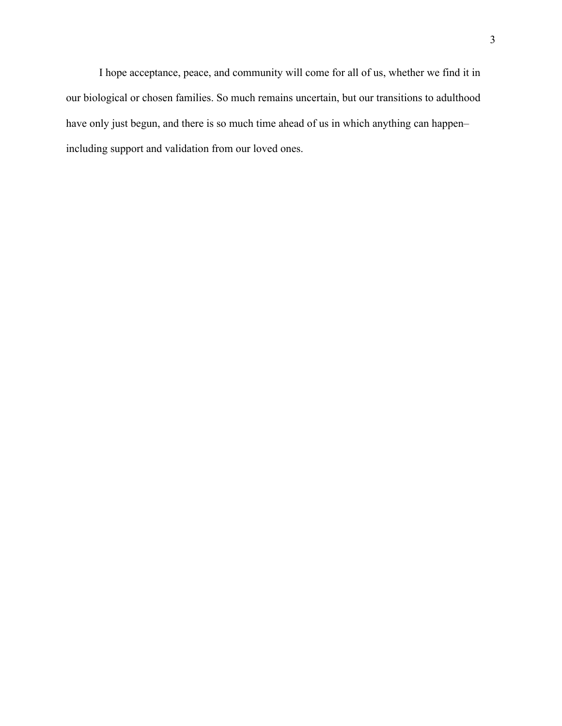I hope acceptance, peace, and community will come for all of us, whether we find it in our biological or chosen families. So much remains uncertain, but our transitions to adulthood have only just begun, and there is so much time ahead of us in which anything can happen– including support and validation from our loved ones.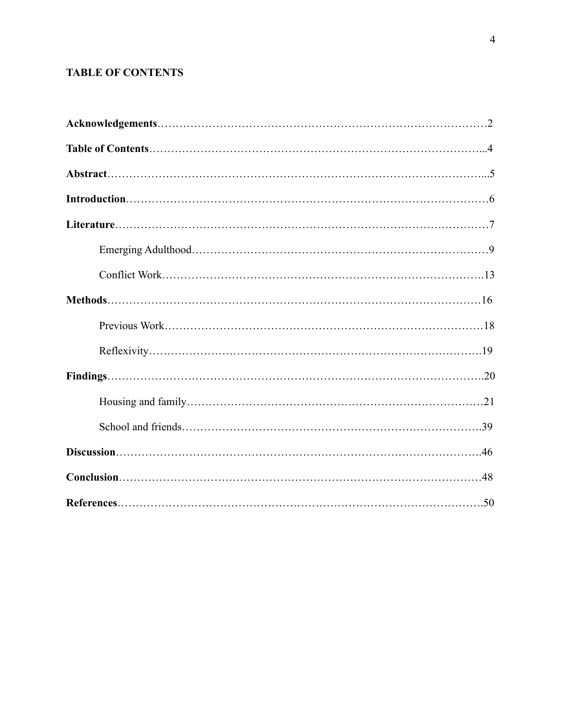# **TABLE OF CONTENTS**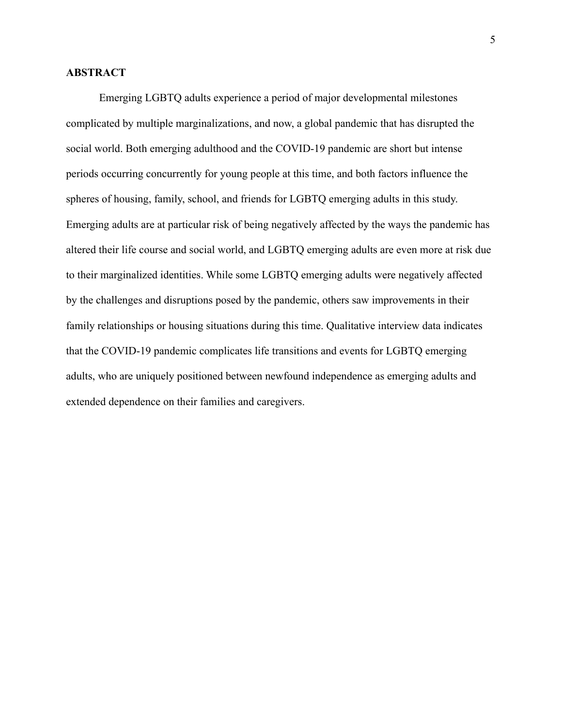# **ABSTRACT**

Emerging LGBTQ adults experience a period of major developmental milestones complicated by multiple marginalizations, and now, a global pandemic that has disrupted the social world. Both emerging adulthood and the COVID-19 pandemic are short but intense periods occurring concurrently for young people at this time, and both factors influence the spheres of housing, family, school, and friends for LGBTQ emerging adults in this study. Emerging adults are at particular risk of being negatively affected by the ways the pandemic has altered their life course and social world, and LGBTQ emerging adults are even more at risk due to their marginalized identities. While some LGBTQ emerging adults were negatively affected by the challenges and disruptions posed by the pandemic, others saw improvements in their family relationships or housing situations during this time. Qualitative interview data indicates that the COVID-19 pandemic complicates life transitions and events for LGBTQ emerging adults, who are uniquely positioned between newfound independence as emerging adults and extended dependence on their families and caregivers.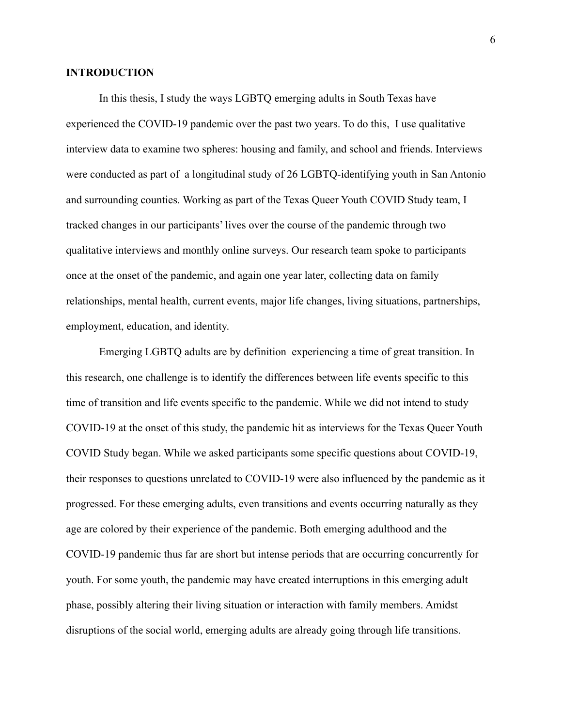## **INTRODUCTION**

In this thesis, I study the ways LGBTQ emerging adults in South Texas have experienced the COVID-19 pandemic over the past two years. To do this, I use qualitative interview data to examine two spheres: housing and family, and school and friends. Interviews were conducted as part of a longitudinal study of 26 LGBTQ-identifying youth in San Antonio and surrounding counties. Working as part of the Texas Queer Youth COVID Study team, I tracked changes in our participants' lives over the course of the pandemic through two qualitative interviews and monthly online surveys. Our research team spoke to participants once at the onset of the pandemic, and again one year later, collecting data on family relationships, mental health, current events, major life changes, living situations, partnerships, employment, education, and identity.

Emerging LGBTQ adults are by definition experiencing a time of great transition. In this research, one challenge is to identify the differences between life events specific to this time of transition and life events specific to the pandemic. While we did not intend to study COVID-19 at the onset of this study, the pandemic hit as interviews for the Texas Queer Youth COVID Study began. While we asked participants some specific questions about COVID-19, their responses to questions unrelated to COVID-19 were also influenced by the pandemic as it progressed. For these emerging adults, even transitions and events occurring naturally as they age are colored by their experience of the pandemic. Both emerging adulthood and the COVID-19 pandemic thus far are short but intense periods that are occurring concurrently for youth. For some youth, the pandemic may have created interruptions in this emerging adult phase, possibly altering their living situation or interaction with family members. Amidst disruptions of the social world, emerging adults are already going through life transitions.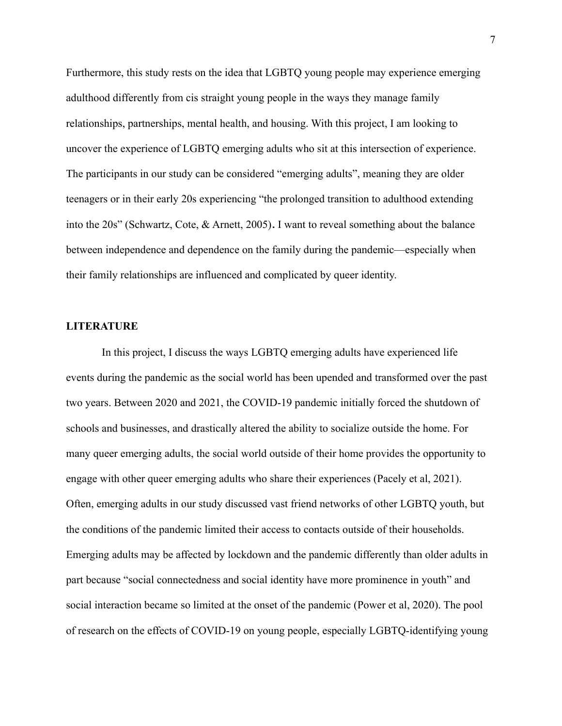Furthermore, this study rests on the idea that LGBTQ young people may experience emerging adulthood differently from cis straight young people in the ways they manage family relationships, partnerships, mental health, and housing. With this project, I am looking to uncover the experience of LGBTQ emerging adults who sit at this intersection of experience. The participants in our study can be considered "emerging adults", meaning they are older teenagers or in their early 20s experiencing "the prolonged transition to adulthood extending into the 20s" (Schwartz, Cote, & Arnett, 2005)**.** I want to reveal something about the balance between independence and dependence on the family during the pandemic—especially when their family relationships are influenced and complicated by queer identity.

#### **LITERATURE**

In this project, I discuss the ways LGBTQ emerging adults have experienced life events during the pandemic as the social world has been upended and transformed over the past two years. Between 2020 and 2021, the COVID-19 pandemic initially forced the shutdown of schools and businesses, and drastically altered the ability to socialize outside the home. For many queer emerging adults, the social world outside of their home provides the opportunity to engage with other queer emerging adults who share their experiences (Pacely et al, 2021). Often, emerging adults in our study discussed vast friend networks of other LGBTQ youth, but the conditions of the pandemic limited their access to contacts outside of their households. Emerging adults may be affected by lockdown and the pandemic differently than older adults in part because "social connectedness and social identity have more prominence in youth" and social interaction became so limited at the onset of the pandemic (Power et al, 2020). The pool of research on the effects of COVID-19 on young people, especially LGBTQ-identifying young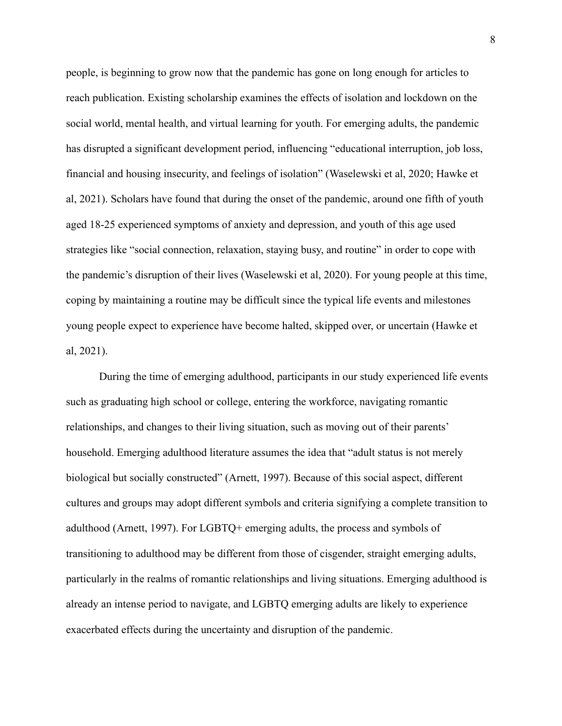people, is beginning to grow now that the pandemic has gone on long enough for articles to reach publication. Existing scholarship examines the effects of isolation and lockdown on the social world, mental health, and virtual learning for youth. For emerging adults, the pandemic has disrupted a significant development period, influencing "educational interruption, job loss, financial and housing insecurity, and feelings of isolation" (Waselewski et al, 2020; Hawke et al, 2021). Scholars have found that during the onset of the pandemic, around one fifth of youth aged 18-25 experienced symptoms of anxiety and depression, and youth of this age used strategies like "social connection, relaxation, staying busy, and routine" in order to cope with the pandemic's disruption of their lives (Waselewski et al, 2020). For young people at this time, coping by maintaining a routine may be difficult since the typical life events and milestones young people expect to experience have become halted, skipped over, or uncertain (Hawke et al, 2021).

During the time of emerging adulthood, participants in our study experienced life events such as graduating high school or college, entering the workforce, navigating romantic relationships, and changes to their living situation, such as moving out of their parents' household. Emerging adulthood literature assumes the idea that "adult status is not merely biological but socially constructed" (Arnett, 1997). Because of this social aspect, different cultures and groups may adopt different symbols and criteria signifying a complete transition to adulthood (Arnett, 1997). For LGBTQ+ emerging adults, the process and symbols of transitioning to adulthood may be different from those of cisgender, straight emerging adults, particularly in the realms of romantic relationships and living situations. Emerging adulthood is already an intense period to navigate, and LGBTQ emerging adults are likely to experience exacerbated effects during the uncertainty and disruption of the pandemic.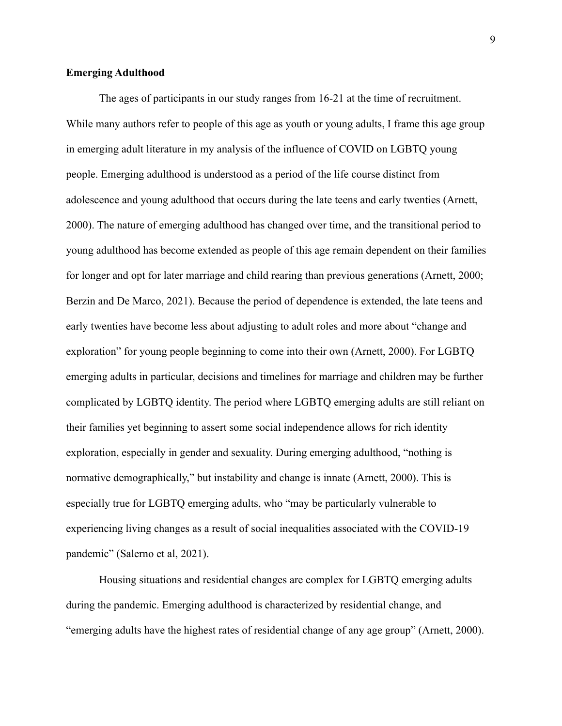# **Emerging Adulthood**

The ages of participants in our study ranges from 16-21 at the time of recruitment. While many authors refer to people of this age as youth or young adults, I frame this age group in emerging adult literature in my analysis of the influence of COVID on LGBTQ young people. Emerging adulthood is understood as a period of the life course distinct from adolescence and young adulthood that occurs during the late teens and early twenties (Arnett, 2000). The nature of emerging adulthood has changed over time, and the transitional period to young adulthood has become extended as people of this age remain dependent on their families for longer and opt for later marriage and child rearing than previous generations (Arnett, 2000; Berzin and De Marco, 2021). Because the period of dependence is extended, the late teens and early twenties have become less about adjusting to adult roles and more about "change and exploration" for young people beginning to come into their own (Arnett, 2000). For LGBTQ emerging adults in particular, decisions and timelines for marriage and children may be further complicated by LGBTQ identity. The period where LGBTQ emerging adults are still reliant on their families yet beginning to assert some social independence allows for rich identity exploration, especially in gender and sexuality. During emerging adulthood, "nothing is normative demographically," but instability and change is innate (Arnett, 2000). This is especially true for LGBTQ emerging adults, who "may be particularly vulnerable to experiencing living changes as a result of social inequalities associated with the COVID-19 pandemic" (Salerno et al, 2021).

Housing situations and residential changes are complex for LGBTQ emerging adults during the pandemic. Emerging adulthood is characterized by residential change, and "emerging adults have the highest rates of residential change of any age group" (Arnett, 2000).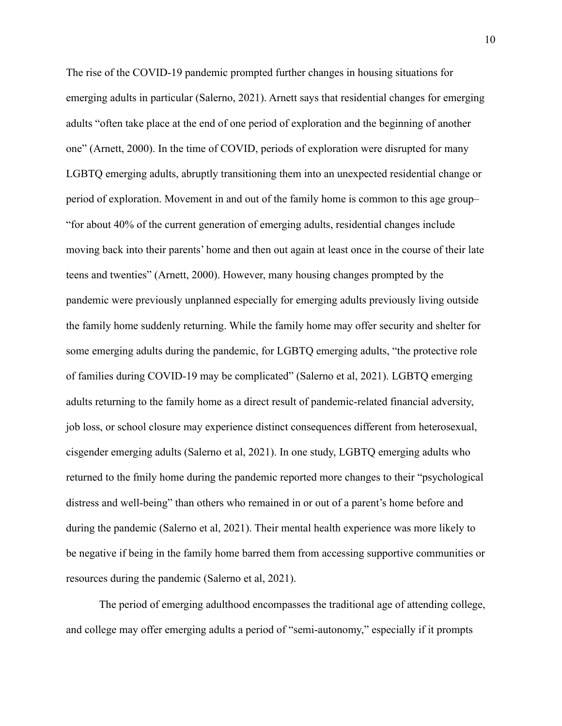The rise of the COVID-19 pandemic prompted further changes in housing situations for emerging adults in particular (Salerno, 2021). Arnett says that residential changes for emerging adults "often take place at the end of one period of exploration and the beginning of another one" (Arnett, 2000). In the time of COVID, periods of exploration were disrupted for many LGBTQ emerging adults, abruptly transitioning them into an unexpected residential change or period of exploration. Movement in and out of the family home is common to this age group– "for about 40% of the current generation of emerging adults, residential changes include moving back into their parents' home and then out again at least once in the course of their late teens and twenties" (Arnett, 2000). However, many housing changes prompted by the pandemic were previously unplanned especially for emerging adults previously living outside the family home suddenly returning. While the family home may offer security and shelter for some emerging adults during the pandemic, for LGBTQ emerging adults, "the protective role of families during COVID-19 may be complicated" (Salerno et al, 2021). LGBTQ emerging adults returning to the family home as a direct result of pandemic-related financial adversity, job loss, or school closure may experience distinct consequences different from heterosexual, cisgender emerging adults (Salerno et al, 2021). In one study, LGBTQ emerging adults who returned to the fmily home during the pandemic reported more changes to their "psychological distress and well-being" than others who remained in or out of a parent's home before and during the pandemic (Salerno et al, 2021). Their mental health experience was more likely to be negative if being in the family home barred them from accessing supportive communities or resources during the pandemic (Salerno et al, 2021).

The period of emerging adulthood encompasses the traditional age of attending college, and college may offer emerging adults a period of "semi-autonomy," especially if it prompts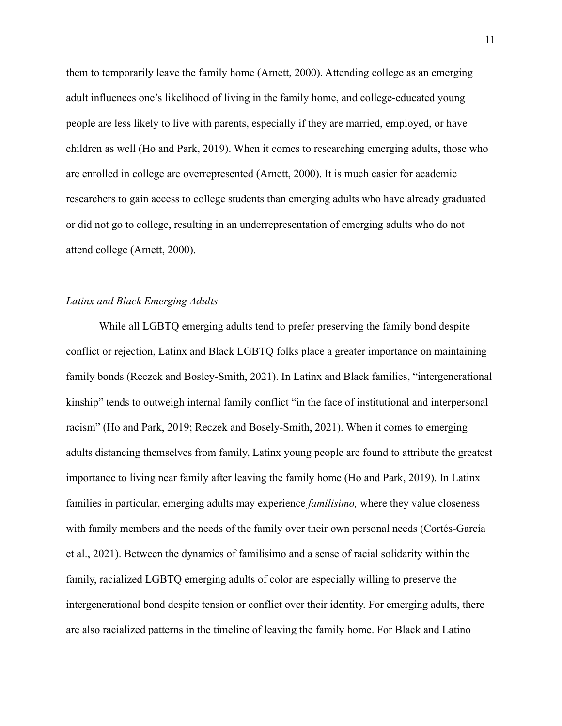them to temporarily leave the family home (Arnett, 2000). Attending college as an emerging adult influences one's likelihood of living in the family home, and college-educated young people are less likely to live with parents, especially if they are married, employed, or have children as well (Ho and Park, 2019). When it comes to researching emerging adults, those who are enrolled in college are overrepresented (Arnett, 2000). It is much easier for academic researchers to gain access to college students than emerging adults who have already graduated or did not go to college, resulting in an underrepresentation of emerging adults who do not attend college (Arnett, 2000).

# *Latinx and Black Emerging Adults*

While all LGBTQ emerging adults tend to prefer preserving the family bond despite conflict or rejection, Latinx and Black LGBTQ folks place a greater importance on maintaining family bonds (Reczek and Bosley-Smith, 2021). In Latinx and Black families, "intergenerational kinship" tends to outweigh internal family conflict "in the face of institutional and interpersonal racism" (Ho and Park, 2019; Reczek and Bosely-Smith, 2021). When it comes to emerging adults distancing themselves from family, Latinx young people are found to attribute the greatest importance to living near family after leaving the family home (Ho and Park, 2019). In Latinx families in particular, emerging adults may experience *familisimo,* where they value closeness with family members and the needs of the family over their own personal needs [\(Cortés-García](https://www.zotero.org/google-docs/?MZxFoa) [et al., 2021\)](https://www.zotero.org/google-docs/?MZxFoa). Between the dynamics of familisimo and a sense of racial solidarity within the family, racialized LGBTQ emerging adults of color are especially willing to preserve the intergenerational bond despite tension or conflict over their identity. For emerging adults, there are also racialized patterns in the timeline of leaving the family home. For Black and Latino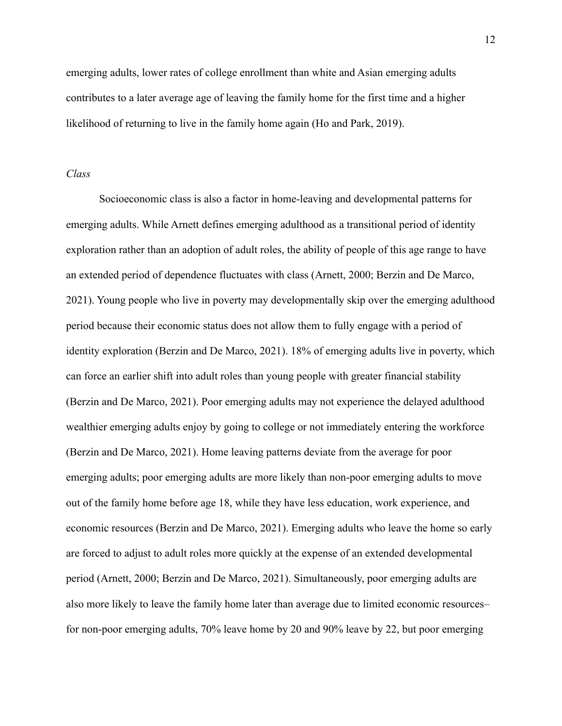emerging adults, lower rates of college enrollment than white and Asian emerging adults contributes to a later average age of leaving the family home for the first time and a higher likelihood of returning to live in the family home again (Ho and Park, 2019).

#### *Class*

Socioeconomic class is also a factor in home-leaving and developmental patterns for emerging adults. While Arnett defines emerging adulthood as a transitional period of identity exploration rather than an adoption of adult roles, the ability of people of this age range to have an extended period of dependence fluctuates with class (Arnett, 2000; Berzin and De Marco, 2021). Young people who live in poverty may developmentally skip over the emerging adulthood period because their economic status does not allow them to fully engage with a period of identity exploration (Berzin and De Marco, 2021). 18% of emerging adults live in poverty, which can force an earlier shift into adult roles than young people with greater financial stability (Berzin and De Marco, 2021). Poor emerging adults may not experience the delayed adulthood wealthier emerging adults enjoy by going to college or not immediately entering the workforce (Berzin and De Marco, 2021). Home leaving patterns deviate from the average for poor emerging adults; poor emerging adults are more likely than non-poor emerging adults to move out of the family home before age 18, while they have less education, work experience, and economic resources (Berzin and De Marco, 2021). Emerging adults who leave the home so early are forced to adjust to adult roles more quickly at the expense of an extended developmental period (Arnett, 2000; Berzin and De Marco, 2021). Simultaneously, poor emerging adults are also more likely to leave the family home later than average due to limited economic resources– for non-poor emerging adults, 70% leave home by 20 and 90% leave by 22, but poor emerging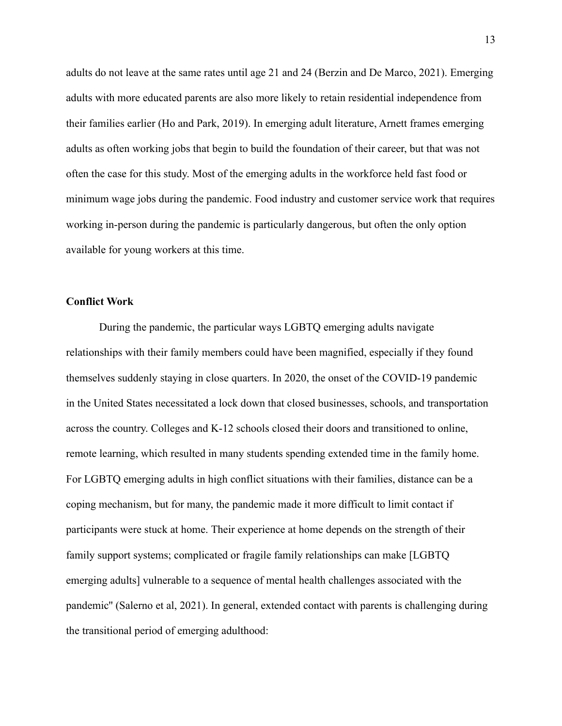adults do not leave at the same rates until age 21 and 24 (Berzin and De Marco, 2021). Emerging adults with more educated parents are also more likely to retain residential independence from their families earlier (Ho and Park, 2019). In emerging adult literature, Arnett frames emerging adults as often working jobs that begin to build the foundation of their career, but that was not often the case for this study. Most of the emerging adults in the workforce held fast food or minimum wage jobs during the pandemic. Food industry and customer service work that requires working in-person during the pandemic is particularly dangerous, but often the only option available for young workers at this time.

# **Conflict Work**

During the pandemic, the particular ways LGBTQ emerging adults navigate relationships with their family members could have been magnified, especially if they found themselves suddenly staying in close quarters. In 2020, the onset of the COVID-19 pandemic in the United States necessitated a lock down that closed businesses, schools, and transportation across the country. Colleges and K-12 schools closed their doors and transitioned to online, remote learning, which resulted in many students spending extended time in the family home. For LGBTQ emerging adults in high conflict situations with their families, distance can be a coping mechanism, but for many, the pandemic made it more difficult to limit contact if participants were stuck at home. Their experience at home depends on the strength of their family support systems; complicated or fragile family relationships can make [LGBTQ emerging adults] vulnerable to a sequence of mental health challenges associated with the pandemic'' (Salerno et al, 2021). In general, extended contact with parents is challenging during the transitional period of emerging adulthood: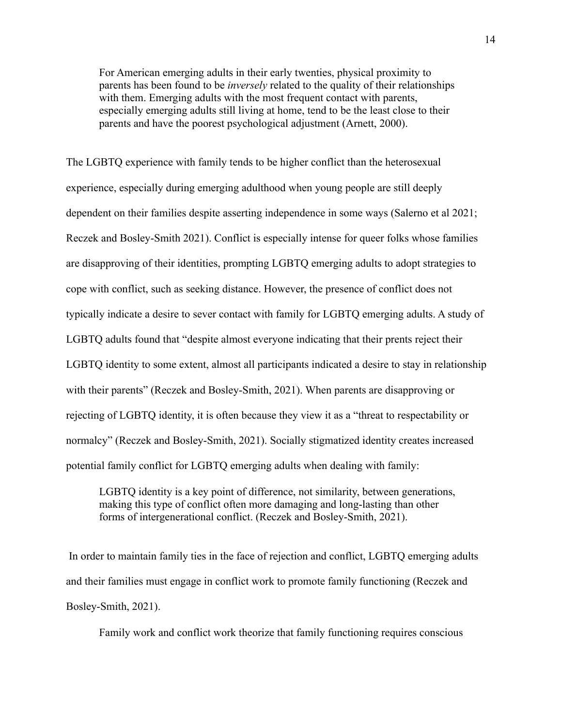For American emerging adults in their early twenties, physical proximity to parents has been found to be *inversely* related to the quality of their relationships with them. Emerging adults with the most frequent contact with parents, especially emerging adults still living at home, tend to be the least close to their parents and have the poorest psychological adjustment (Arnett, 2000).

The LGBTQ experience with family tends to be higher conflict than the heterosexual experience, especially during emerging adulthood when young people are still deeply dependent on their families despite asserting independence in some ways (Salerno et al 2021; Reczek and Bosley-Smith 2021). Conflict is especially intense for queer folks whose families are disapproving of their identities, prompting LGBTQ emerging adults to adopt strategies to cope with conflict, such as seeking distance. However, the presence of conflict does not typically indicate a desire to sever contact with family for LGBTQ emerging adults. A study of LGBTQ adults found that "despite almost everyone indicating that their prents reject their LGBTQ identity to some extent, almost all participants indicated a desire to stay in relationship with their parents" (Reczek and Bosley-Smith, 2021). When parents are disapproving or rejecting of LGBTQ identity, it is often because they view it as a "threat to respectability or normalcy" (Reczek and Bosley-Smith, 2021). Socially stigmatized identity creates increased potential family conflict for LGBTQ emerging adults when dealing with family:

LGBTQ identity is a key point of difference, not similarity, between generations, making this type of conflict often more damaging and long-lasting than other forms of intergenerational conflict. (Reczek and Bosley-Smith, 2021).

In order to maintain family ties in the face of rejection and conflict, LGBTQ emerging adults and their families must engage in conflict work to promote family functioning (Reczek and Bosley-Smith, 2021).

Family work and conflict work theorize that family functioning requires conscious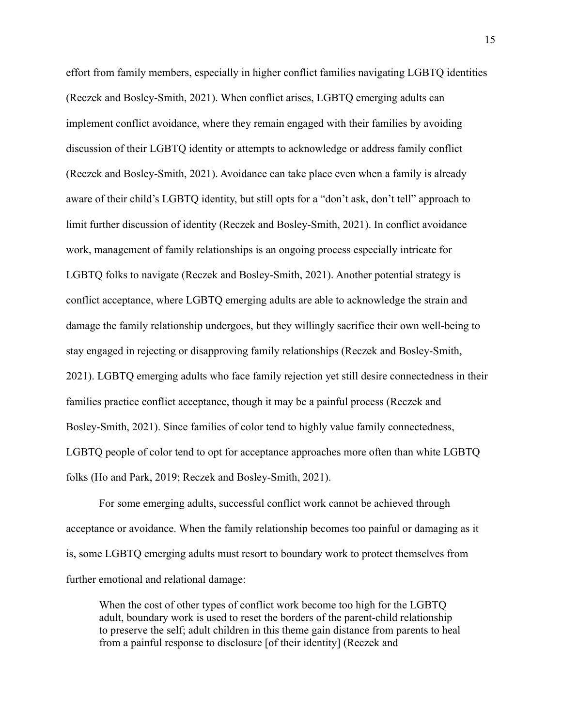effort from family members, especially in higher conflict families navigating LGBTQ identities (Reczek and Bosley-Smith, 2021). When conflict arises, LGBTQ emerging adults can implement conflict avoidance, where they remain engaged with their families by avoiding discussion of their LGBTQ identity or attempts to acknowledge or address family conflict (Reczek and Bosley-Smith, 2021). Avoidance can take place even when a family is already aware of their child's LGBTQ identity, but still opts for a "don't ask, don't tell" approach to limit further discussion of identity (Reczek and Bosley-Smith, 2021). In conflict avoidance work, management of family relationships is an ongoing process especially intricate for LGBTQ folks to navigate (Reczek and Bosley-Smith, 2021). Another potential strategy is conflict acceptance, where LGBTQ emerging adults are able to acknowledge the strain and damage the family relationship undergoes, but they willingly sacrifice their own well-being to stay engaged in rejecting or disapproving family relationships (Reczek and Bosley-Smith, 2021). LGBTQ emerging adults who face family rejection yet still desire connectedness in their families practice conflict acceptance, though it may be a painful process (Reczek and Bosley-Smith, 2021). Since families of color tend to highly value family connectedness, LGBTQ people of color tend to opt for acceptance approaches more often than white LGBTQ folks (Ho and Park, 2019; Reczek and Bosley-Smith, 2021).

For some emerging adults, successful conflict work cannot be achieved through acceptance or avoidance. When the family relationship becomes too painful or damaging as it is, some LGBTQ emerging adults must resort to boundary work to protect themselves from further emotional and relational damage:

When the cost of other types of conflict work become too high for the LGBTQ adult, boundary work is used to reset the borders of the parent-child relationship to preserve the self; adult children in this theme gain distance from parents to heal from a painful response to disclosure [of their identity] (Reczek and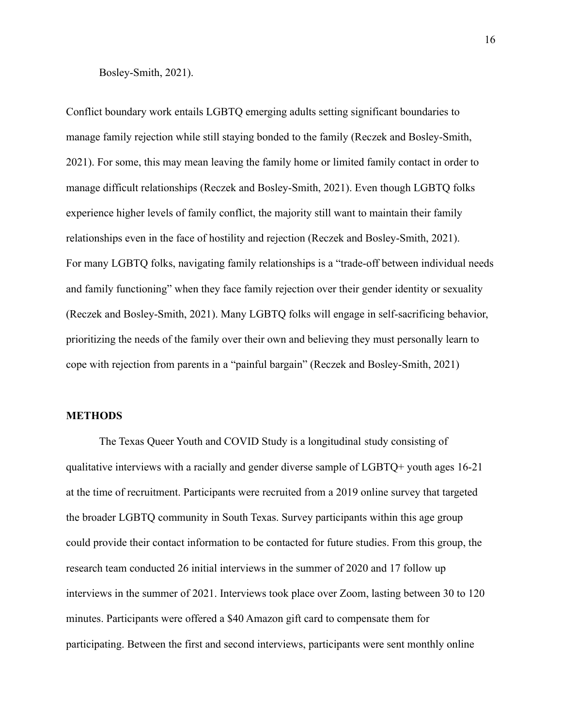Bosley-Smith, 2021).

Conflict boundary work entails LGBTQ emerging adults setting significant boundaries to manage family rejection while still staying bonded to the family (Reczek and Bosley-Smith, 2021). For some, this may mean leaving the family home or limited family contact in order to manage difficult relationships (Reczek and Bosley-Smith, 2021). Even though LGBTQ folks experience higher levels of family conflict, the majority still want to maintain their family relationships even in the face of hostility and rejection (Reczek and Bosley-Smith, 2021). For many LGBTQ folks, navigating family relationships is a "trade-off between individual needs and family functioning" when they face family rejection over their gender identity or sexuality (Reczek and Bosley-Smith, 2021). Many LGBTQ folks will engage in self-sacrificing behavior, prioritizing the needs of the family over their own and believing they must personally learn to cope with rejection from parents in a "painful bargain" (Reczek and Bosley-Smith, 2021)

#### **METHODS**

The Texas Queer Youth and COVID Study is a longitudinal study consisting of qualitative interviews with a racially and gender diverse sample of LGBTQ+ youth ages 16-21 at the time of recruitment. Participants were recruited from a 2019 online survey that targeted the broader LGBTQ community in South Texas. Survey participants within this age group could provide their contact information to be contacted for future studies. From this group, the research team conducted 26 initial interviews in the summer of 2020 and 17 follow up interviews in the summer of 2021. Interviews took place over Zoom, lasting between 30 to 120 minutes. Participants were offered a \$40 Amazon gift card to compensate them for participating. Between the first and second interviews, participants were sent monthly online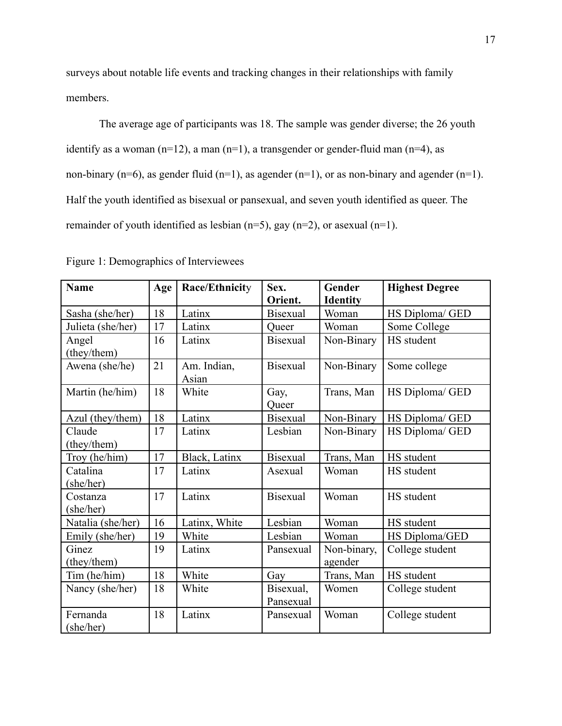surveys about notable life events and tracking changes in their relationships with family members.

The average age of participants was 18. The sample was gender diverse; the 26 youth identify as a woman  $(n=12)$ , a man  $(n=1)$ , a transgender or gender-fluid man  $(n=4)$ , as non-binary (n=6), as gender fluid (n=1), as agender (n=1), or as non-binary and agender (n=1). Half the youth identified as bisexual or pansexual, and seven youth identified as queer. The remainder of youth identified as lesbian (n=5), gay (n=2), or asexual (n=1).

| <b>Name</b>           | Age | Race/Ethnicity       | Sex.<br>Orient.        | Gender<br><b>Identity</b> | <b>Highest Degree</b> |
|-----------------------|-----|----------------------|------------------------|---------------------------|-----------------------|
| Sasha (she/her)       | 18  | Latinx               | <b>Bisexual</b>        | Woman                     | HS Diploma/ GED       |
| Julieta (she/her)     | 17  | Latinx               | Oueer                  | Woman                     | Some College          |
| Angel<br>(they/them)  | 16  | Latinx               | <b>Bisexual</b>        | Non-Binary                | HS student            |
| Awena (she/he)        | 21  | Am. Indian,<br>Asian | <b>Bisexual</b>        | Non-Binary                | Some college          |
| Martin (he/him)       | 18  | White                | Gay,<br>Queer          | Trans, Man                | HS Diploma/ GED       |
| Azul (they/them)      | 18  | Latinx               | <b>Bisexual</b>        | Non-Binary                | HS Diploma/ GED       |
| Claude<br>(they/them) | 17  | Latinx               | Lesbian                | Non-Binary                | HS Diploma/ GED       |
| Troy (he/him)         | 17  | Black, Latinx        | <b>Bisexual</b>        | Trans, Man                | HS student            |
| Catalina<br>(she/her) | 17  | Latinx               | Asexual                | Woman                     | HS student            |
| Costanza<br>(she/her) | 17  | Latinx               | <b>Bisexual</b>        | Woman                     | HS student            |
| Natalia (she/her)     | 16  | Latinx, White        | Lesbian                | Woman                     | HS student            |
| Emily (she/her)       | 19  | White                | Lesbian                | Woman                     | HS Diploma/GED        |
| Ginez<br>(they/them)  | 19  | Latinx               | Pansexual              | Non-binary,<br>agender    | College student       |
| Tim (he/him)          | 18  | White                | Gay                    | Trans, Man                | HS student            |
| Nancy (she/her)       | 18  | White                | Bisexual,<br>Pansexual | Women                     | College student       |
| Fernanda<br>(she/her) | 18  | Latinx               | Pansexual              | Woman                     | College student       |

Figure 1: Demographics of Interviewees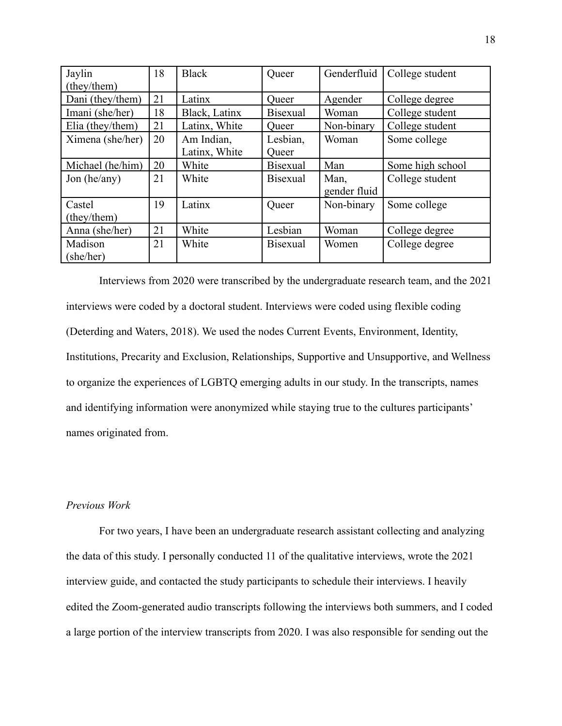| Jaylin           | 18 | <b>Black</b>  | Queer           | Genderfluid  | College student  |
|------------------|----|---------------|-----------------|--------------|------------------|
| (they/them)      |    |               |                 |              |                  |
| Dani (they/them) | 21 | Latinx        | Queer           | Agender      | College degree   |
| Imani (she/her)  | 18 | Black, Latinx | Bisexual        | Woman        | College student  |
| Elia (they/them) | 21 | Latinx, White | Queer           | Non-binary   | College student  |
| Ximena (she/her) | 20 | Am Indian,    | Lesbian,        | Woman        | Some college     |
|                  |    | Latinx, White | Queer           |              |                  |
| Michael (he/him) | 20 | White         | <b>Bisexual</b> | Man          | Some high school |
| Jon (he/any)     | 21 | White         | <b>Bisexual</b> | Man,         | College student  |
|                  |    |               |                 | gender fluid |                  |
| Castel           | 19 | Latinx        | Queer           | Non-binary   | Some college     |
| (they/them)      |    |               |                 |              |                  |
| Anna (she/her)   | 21 | White         | Lesbian         | Woman        | College degree   |
| Madison          | 21 | White         | <b>Bisexual</b> | Women        | College degree   |
| (she/her)        |    |               |                 |              |                  |

Interviews from 2020 were transcribed by the undergraduate research team, and the 2021 interviews were coded by a doctoral student. Interviews were coded using flexible coding (Deterding and Waters, 2018). We used the nodes Current Events, Environment, Identity, Institutions, Precarity and Exclusion, Relationships, Supportive and Unsupportive, and Wellness to organize the experiences of LGBTQ emerging adults in our study. In the transcripts, names and identifying information were anonymized while staying true to the cultures participants' names originated from.

# *Previous Work*

For two years, I have been an undergraduate research assistant collecting and analyzing the data of this study. I personally conducted 11 of the qualitative interviews, wrote the 2021 interview guide, and contacted the study participants to schedule their interviews. I heavily edited the Zoom-generated audio transcripts following the interviews both summers, and I coded a large portion of the interview transcripts from 2020. I was also responsible for sending out the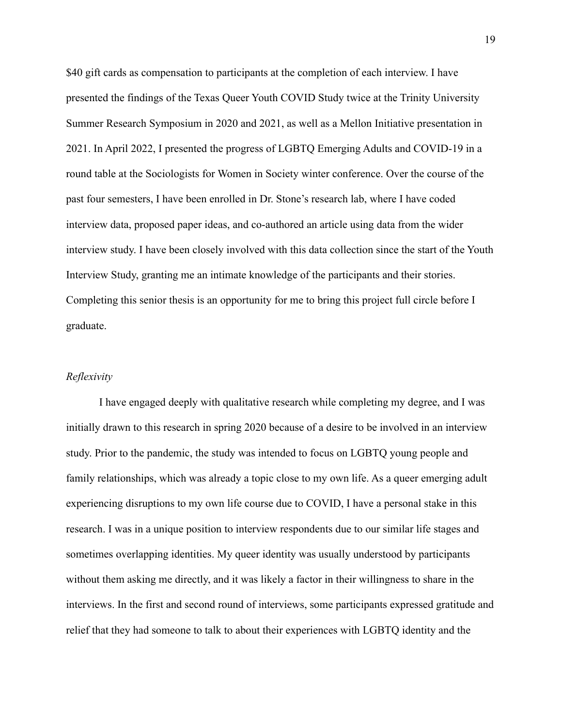\$40 gift cards as compensation to participants at the completion of each interview. I have presented the findings of the Texas Queer Youth COVID Study twice at the Trinity University Summer Research Symposium in 2020 and 2021, as well as a Mellon Initiative presentation in 2021. In April 2022, I presented the progress of LGBTQ Emerging Adults and COVID-19 in a round table at the Sociologists for Women in Society winter conference. Over the course of the past four semesters, I have been enrolled in Dr. Stone's research lab, where I have coded interview data, proposed paper ideas, and co-authored an article using data from the wider interview study. I have been closely involved with this data collection since the start of the Youth Interview Study, granting me an intimate knowledge of the participants and their stories. Completing this senior thesis is an opportunity for me to bring this project full circle before I graduate.

#### *Reflexivity*

I have engaged deeply with qualitative research while completing my degree, and I was initially drawn to this research in spring 2020 because of a desire to be involved in an interview study. Prior to the pandemic, the study was intended to focus on LGBTQ young people and family relationships, which was already a topic close to my own life. As a queer emerging adult experiencing disruptions to my own life course due to COVID, I have a personal stake in this research. I was in a unique position to interview respondents due to our similar life stages and sometimes overlapping identities. My queer identity was usually understood by participants without them asking me directly, and it was likely a factor in their willingness to share in the interviews. In the first and second round of interviews, some participants expressed gratitude and relief that they had someone to talk to about their experiences with LGBTQ identity and the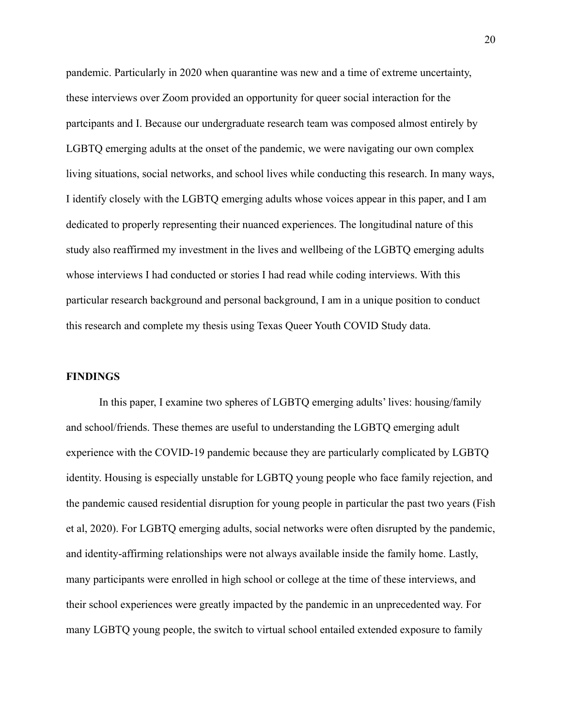pandemic. Particularly in 2020 when quarantine was new and a time of extreme uncertainty, these interviews over Zoom provided an opportunity for queer social interaction for the partcipants and I. Because our undergraduate research team was composed almost entirely by LGBTQ emerging adults at the onset of the pandemic, we were navigating our own complex living situations, social networks, and school lives while conducting this research. In many ways, I identify closely with the LGBTQ emerging adults whose voices appear in this paper, and I am dedicated to properly representing their nuanced experiences. The longitudinal nature of this study also reaffirmed my investment in the lives and wellbeing of the LGBTQ emerging adults whose interviews I had conducted or stories I had read while coding interviews. With this particular research background and personal background, I am in a unique position to conduct this research and complete my thesis using Texas Queer Youth COVID Study data.

#### **FINDINGS**

In this paper, I examine two spheres of LGBTQ emerging adults' lives: housing/family and school/friends. These themes are useful to understanding the LGBTQ emerging adult experience with the COVID-19 pandemic because they are particularly complicated by LGBTQ identity. Housing is especially unstable for LGBTQ young people who face family rejection, and the pandemic caused residential disruption for young people in particular the past two years (Fish et al, 2020). For LGBTQ emerging adults, social networks were often disrupted by the pandemic, and identity-affirming relationships were not always available inside the family home. Lastly, many participants were enrolled in high school or college at the time of these interviews, and their school experiences were greatly impacted by the pandemic in an unprecedented way. For many LGBTQ young people, the switch to virtual school entailed extended exposure to family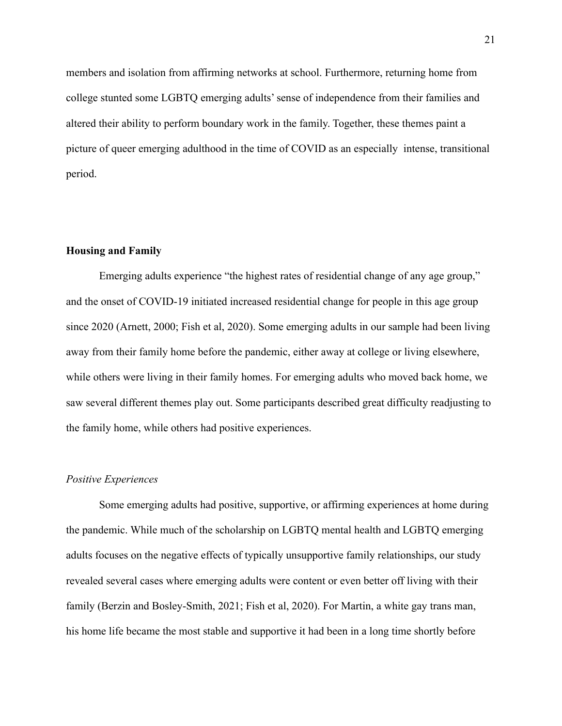members and isolation from affirming networks at school. Furthermore, returning home from college stunted some LGBTQ emerging adults' sense of independence from their families and altered their ability to perform boundary work in the family. Together, these themes paint a picture of queer emerging adulthood in the time of COVID as an especially intense, transitional period.

# **Housing and Family**

Emerging adults experience "the highest rates of residential change of any age group," and the onset of COVID-19 initiated increased residential change for people in this age group since 2020 (Arnett, 2000; Fish et al, 2020). Some emerging adults in our sample had been living away from their family home before the pandemic, either away at college or living elsewhere, while others were living in their family homes. For emerging adults who moved back home, we saw several different themes play out. Some participants described great difficulty readjusting to the family home, while others had positive experiences.

## *Positive Experiences*

Some emerging adults had positive, supportive, or affirming experiences at home during the pandemic. While much of the scholarship on LGBTQ mental health and LGBTQ emerging adults focuses on the negative effects of typically unsupportive family relationships, our study revealed several cases where emerging adults were content or even better off living with their family (Berzin and Bosley-Smith, 2021; Fish et al, 2020). For Martin, a white gay trans man, his home life became the most stable and supportive it had been in a long time shortly before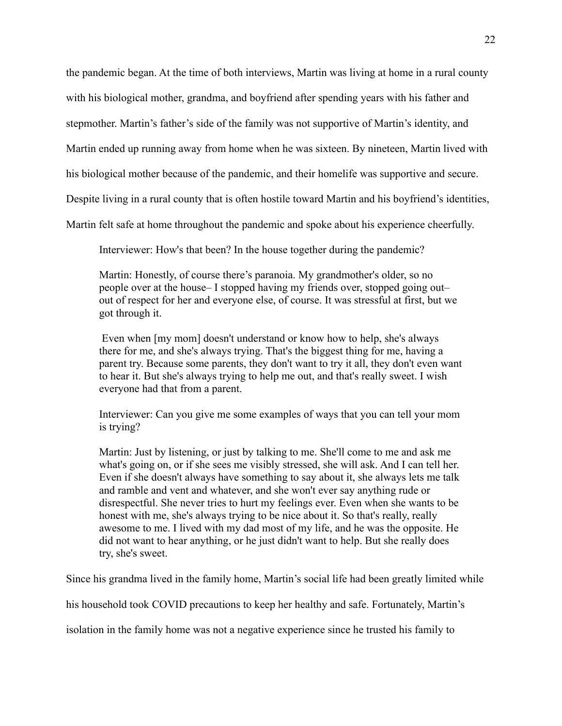the pandemic began. At the time of both interviews, Martin was living at home in a rural county

with his biological mother, grandma, and boyfriend after spending years with his father and

stepmother. Martin's father's side of the family was not supportive of Martin's identity, and

Martin ended up running away from home when he was sixteen. By nineteen, Martin lived with

his biological mother because of the pandemic, and their homelife was supportive and secure.

Despite living in a rural county that is often hostile toward Martin and his boyfriend's identities,

Martin felt safe at home throughout the pandemic and spoke about his experience cheerfully.

Interviewer: How's that been? In the house together during the pandemic?

Martin: Honestly, of course there's paranoia. My grandmother's older, so no people over at the house– I stopped having my friends over, stopped going out– out of respect for her and everyone else, of course. It was stressful at first, but we got through it.

Even when [my mom] doesn't understand or know how to help, she's always there for me, and she's always trying. That's the biggest thing for me, having a parent try. Because some parents, they don't want to try it all, they don't even want to hear it. But she's always trying to help me out, and that's really sweet. I wish everyone had that from a parent.

Interviewer: Can you give me some examples of ways that you can tell your mom is trying?

Martin: Just by listening, or just by talking to me. She'll come to me and ask me what's going on, or if she sees me visibly stressed, she will ask. And I can tell her. Even if she doesn't always have something to say about it, she always lets me talk and ramble and vent and whatever, and she won't ever say anything rude or disrespectful. She never tries to hurt my feelings ever. Even when she wants to be honest with me, she's always trying to be nice about it. So that's really, really awesome to me. I lived with my dad most of my life, and he was the opposite. He did not want to hear anything, or he just didn't want to help. But she really does try, she's sweet.

Since his grandma lived in the family home, Martin's social life had been greatly limited while

his household took COVID precautions to keep her healthy and safe. Fortunately, Martin's

isolation in the family home was not a negative experience since he trusted his family to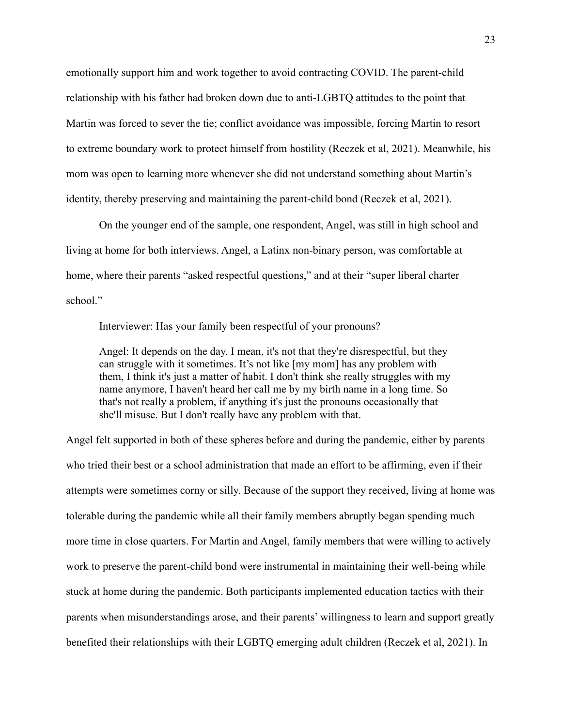emotionally support him and work together to avoid contracting COVID. The parent-child relationship with his father had broken down due to anti-LGBTQ attitudes to the point that Martin was forced to sever the tie; conflict avoidance was impossible, forcing Martin to resort to extreme boundary work to protect himself from hostility (Reczek et al, 2021). Meanwhile, his mom was open to learning more whenever she did not understand something about Martin's identity, thereby preserving and maintaining the parent-child bond (Reczek et al, 2021).

On the younger end of the sample, one respondent, Angel, was still in high school and living at home for both interviews. Angel, a Latinx non-binary person, was comfortable at home, where their parents "asked respectful questions," and at their "super liberal charter school."

Interviewer: Has your family been respectful of your pronouns?

Angel: It depends on the day. I mean, it's not that they're disrespectful, but they can struggle with it sometimes. It's not like [my mom] has any problem with them, I think it's just a matter of habit. I don't think she really struggles with my name anymore, I haven't heard her call me by my birth name in a long time. So that's not really a problem, if anything it's just the pronouns occasionally that she'll misuse. But I don't really have any problem with that.

Angel felt supported in both of these spheres before and during the pandemic, either by parents who tried their best or a school administration that made an effort to be affirming, even if their attempts were sometimes corny or silly. Because of the support they received, living at home was tolerable during the pandemic while all their family members abruptly began spending much more time in close quarters. For Martin and Angel, family members that were willing to actively work to preserve the parent-child bond were instrumental in maintaining their well-being while stuck at home during the pandemic. Both participants implemented education tactics with their parents when misunderstandings arose, and their parents' willingness to learn and support greatly benefited their relationships with their LGBTQ emerging adult children (Reczek et al, 2021). In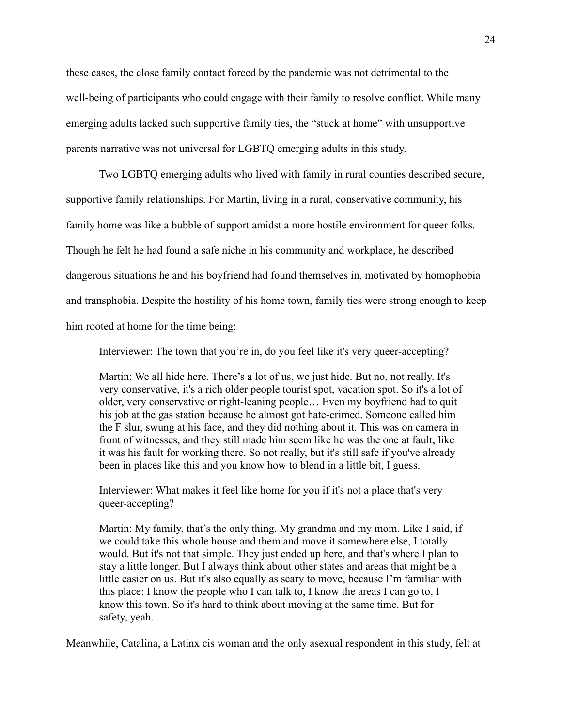these cases, the close family contact forced by the pandemic was not detrimental to the well-being of participants who could engage with their family to resolve conflict. While many emerging adults lacked such supportive family ties, the "stuck at home" with unsupportive parents narrative was not universal for LGBTQ emerging adults in this study.

Two LGBTQ emerging adults who lived with family in rural counties described secure, supportive family relationships. For Martin, living in a rural, conservative community, his family home was like a bubble of support amidst a more hostile environment for queer folks. Though he felt he had found a safe niche in his community and workplace, he described dangerous situations he and his boyfriend had found themselves in, motivated by homophobia and transphobia. Despite the hostility of his home town, family ties were strong enough to keep him rooted at home for the time being:

Interviewer: The town that you're in, do you feel like it's very queer-accepting?

Martin: We all hide here. There's a lot of us, we just hide. But no, not really. It's very conservative, it's a rich older people tourist spot, vacation spot. So it's a lot of older, very conservative or right-leaning people… Even my boyfriend had to quit his job at the gas station because he almost got hate-crimed. Someone called him the F slur, swung at his face, and they did nothing about it. This was on camera in front of witnesses, and they still made him seem like he was the one at fault, like it was his fault for working there. So not really, but it's still safe if you've already been in places like this and you know how to blend in a little bit, I guess.

Interviewer: What makes it feel like home for you if it's not a place that's very queer-accepting?

Martin: My family, that's the only thing. My grandma and my mom. Like I said, if we could take this whole house and them and move it somewhere else, I totally would. But it's not that simple. They just ended up here, and that's where I plan to stay a little longer. But I always think about other states and areas that might be a little easier on us. But it's also equally as scary to move, because I'm familiar with this place: I know the people who I can talk to, I know the areas I can go to, I know this town. So it's hard to think about moving at the same time. But for safety, yeah.

Meanwhile, Catalina, a Latinx cis woman and the only asexual respondent in this study, felt at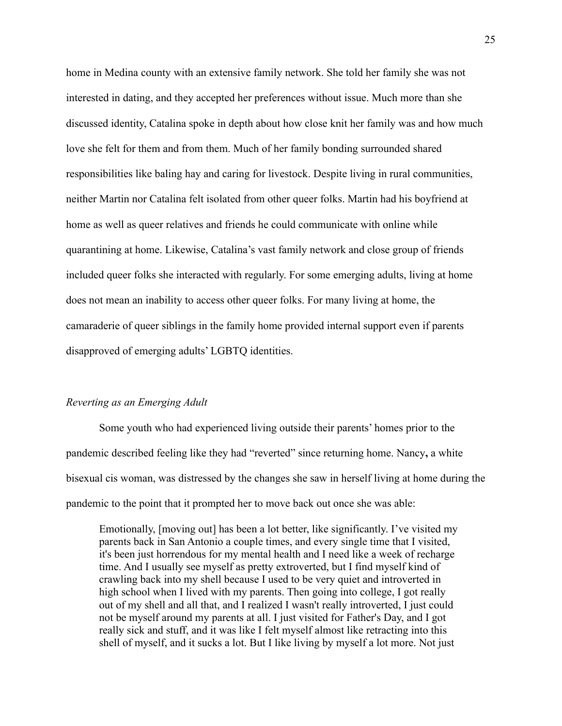home in Medina county with an extensive family network. She told her family she was not interested in dating, and they accepted her preferences without issue. Much more than she discussed identity, Catalina spoke in depth about how close knit her family was and how much love she felt for them and from them. Much of her family bonding surrounded shared responsibilities like baling hay and caring for livestock. Despite living in rural communities, neither Martin nor Catalina felt isolated from other queer folks. Martin had his boyfriend at home as well as queer relatives and friends he could communicate with online while quarantining at home. Likewise, Catalina's vast family network and close group of friends included queer folks she interacted with regularly. For some emerging adults, living at home does not mean an inability to access other queer folks. For many living at home, the camaraderie of queer siblings in the family home provided internal support even if parents disapproved of emerging adults' LGBTQ identities.

# *Reverting as an Emerging Adult*

Some youth who had experienced living outside their parents' homes prior to the pandemic described feeling like they had "reverted" since returning home. Nancy**,** a white bisexual cis woman, was distressed by the changes she saw in herself living at home during the pandemic to the point that it prompted her to move back out once she was able:

Emotionally, [moving out] has been a lot better, like significantly. I've visited my parents back in San Antonio a couple times, and every single time that I visited, it's been just horrendous for my mental health and I need like a week of recharge time. And I usually see myself as pretty extroverted, but I find myself kind of crawling back into my shell because I used to be very quiet and introverted in high school when I lived with my parents. Then going into college, I got really out of my shell and all that, and I realized I wasn't really introverted, I just could not be myself around my parents at all. I just visited for Father's Day, and I got really sick and stuff, and it was like I felt myself almost like retracting into this shell of myself, and it sucks a lot. But I like living by myself a lot more. Not just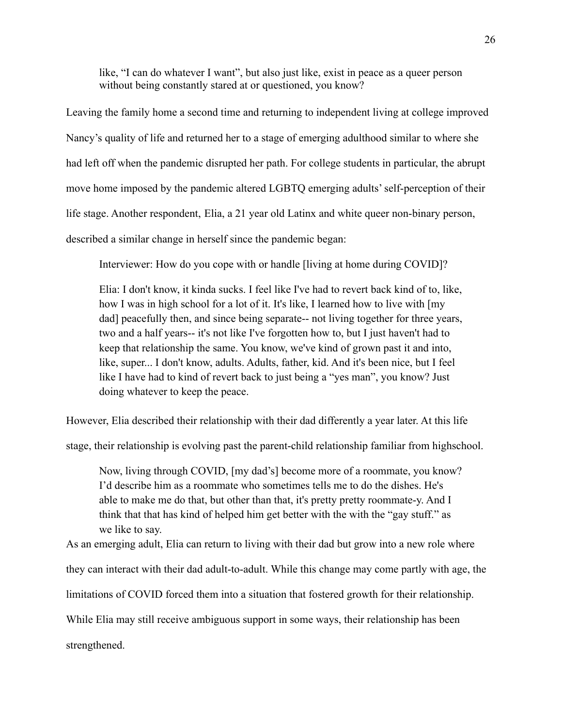like, "I can do whatever I want", but also just like, exist in peace as a queer person without being constantly stared at or questioned, you know?

Leaving the family home a second time and returning to independent living at college improved Nancy's quality of life and returned her to a stage of emerging adulthood similar to where she had left off when the pandemic disrupted her path. For college students in particular, the abrupt move home imposed by the pandemic altered LGBTQ emerging adults' self-perception of their life stage. Another respondent, Elia, a 21 year old Latinx and white queer non-binary person, described a similar change in herself since the pandemic began:

Interviewer: How do you cope with or handle [living at home during COVID]?

Elia: I don't know, it kinda sucks. I feel like I've had to revert back kind of to, like, how I was in high school for a lot of it. It's like, I learned how to live with  $[my]$ dad] peacefully then, and since being separate-- not living together for three years, two and a half years-- it's not like I've forgotten how to, but I just haven't had to keep that relationship the same. You know, we've kind of grown past it and into, like, super... I don't know, adults. Adults, father, kid. And it's been nice, but I feel like I have had to kind of revert back to just being a "yes man", you know? Just doing whatever to keep the peace.

However, Elia described their relationship with their dad differently a year later. At this life

stage, their relationship is evolving past the parent-child relationship familiar from highschool.

Now, living through COVID, [my dad's] become more of a roommate, you know? I'd describe him as a roommate who sometimes tells me to do the dishes. He's able to make me do that, but other than that, it's pretty pretty roommate-y. And I think that that has kind of helped him get better with the with the "gay stuff." as we like to say.

As an emerging adult, Elia can return to living with their dad but grow into a new role where they can interact with their dad adult-to-adult. While this change may come partly with age, the

limitations of COVID forced them into a situation that fostered growth for their relationship.

While Elia may still receive ambiguous support in some ways, their relationship has been

strengthened.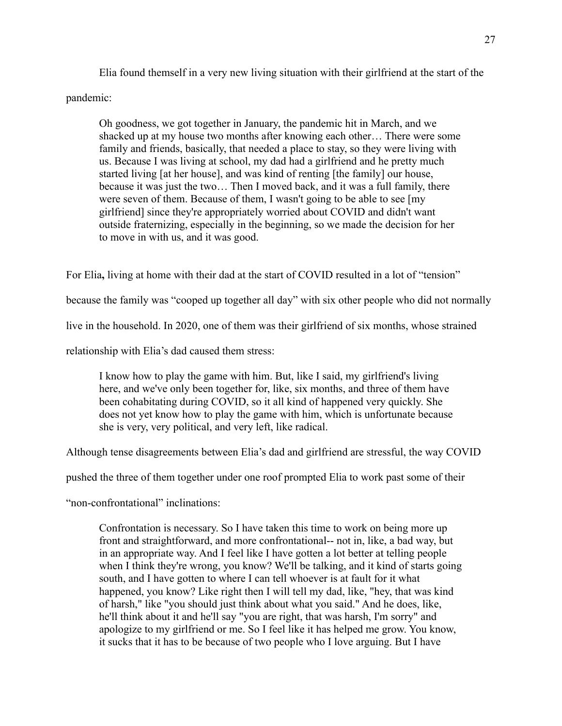Elia found themself in a very new living situation with their girlfriend at the start of the pandemic:

Oh goodness, we got together in January, the pandemic hit in March, and we shacked up at my house two months after knowing each other… There were some family and friends, basically, that needed a place to stay, so they were living with us. Because I was living at school, my dad had a girlfriend and he pretty much started living [at her house], and was kind of renting [the family] our house, because it was just the two… Then I moved back, and it was a full family, there were seven of them. Because of them, I wasn't going to be able to see [my girlfriend] since they're appropriately worried about COVID and didn't want outside fraternizing, especially in the beginning, so we made the decision for her to move in with us, and it was good.

For Elia**,** living at home with their dad at the start of COVID resulted in a lot of "tension"

because the family was "cooped up together all day" with six other people who did not normally

live in the household. In 2020, one of them was their girlfriend of six months, whose strained

relationship with Elia's dad caused them stress:

I know how to play the game with him. But, like I said, my girlfriend's living here, and we've only been together for, like, six months, and three of them have been cohabitating during COVID, so it all kind of happened very quickly. She does not yet know how to play the game with him, which is unfortunate because she is very, very political, and very left, like radical.

Although tense disagreements between Elia's dad and girlfriend are stressful, the way COVID

pushed the three of them together under one roof prompted Elia to work past some of their

"non-confrontational" inclinations:

Confrontation is necessary. So I have taken this time to work on being more up front and straightforward, and more confrontational-- not in, like, a bad way, but in an appropriate way. And I feel like I have gotten a lot better at telling people when I think they're wrong, you know? We'll be talking, and it kind of starts going south, and I have gotten to where I can tell whoever is at fault for it what happened, you know? Like right then I will tell my dad, like, "hey, that was kind of harsh," like "you should just think about what you said." And he does, like, he'll think about it and he'll say "you are right, that was harsh, I'm sorry" and apologize to my girlfriend or me. So I feel like it has helped me grow. You know, it sucks that it has to be because of two people who I love arguing. But I have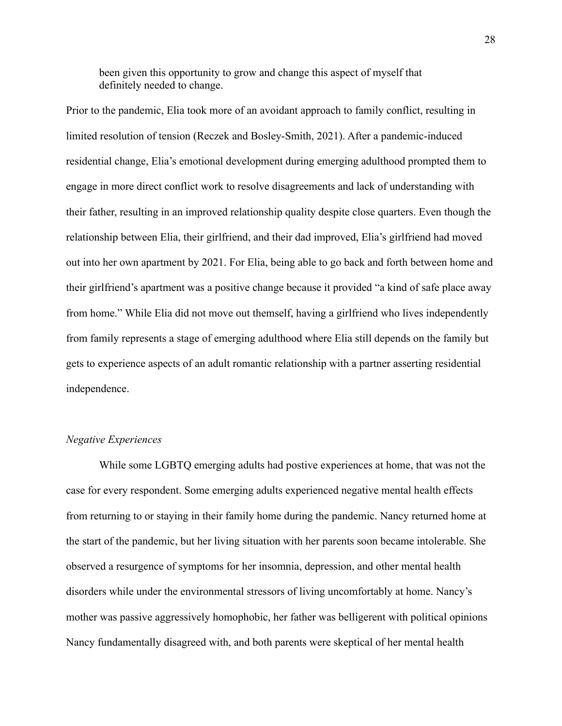been given this opportunity to grow and change this aspect of myself that definitely needed to change.

Prior to the pandemic, Elia took more of an avoidant approach to family conflict, resulting in limited resolution of tension (Reczek and Bosley-Smith, 2021). After a pandemic-induced residential change, Elia's emotional development during emerging adulthood prompted them to engage in more direct conflict work to resolve disagreements and lack of understanding with their father, resulting in an improved relationship quality despite close quarters. Even though the relationship between Elia, their girlfriend, and their dad improved, Elia's girlfriend had moved out into her own apartment by 2021. For Elia, being able to go back and forth between home and their girlfriend's apartment was a positive change because it provided "a kind of safe place away from home." While Elia did not move out themself, having a girlfriend who lives independently from family represents a stage of emerging adulthood where Elia still depends on the family but gets to experience aspects of an adult romantic relationship with a partner asserting residential independence.

#### *Negative Experiences*

While some LGBTQ emerging adults had postive experiences at home, that was not the case for every respondent. Some emerging adults experienced negative mental health effects from returning to or staying in their family home during the pandemic. Nancy returned home at the start of the pandemic, but her living situation with her parents soon became intolerable. She observed a resurgence of symptoms for her insomnia, depression, and other mental health disorders while under the environmental stressors of living uncomfortably at home. Nancy's mother was passive aggressively homophobic, her father was belligerent with political opinions Nancy fundamentally disagreed with, and both parents were skeptical of her mental health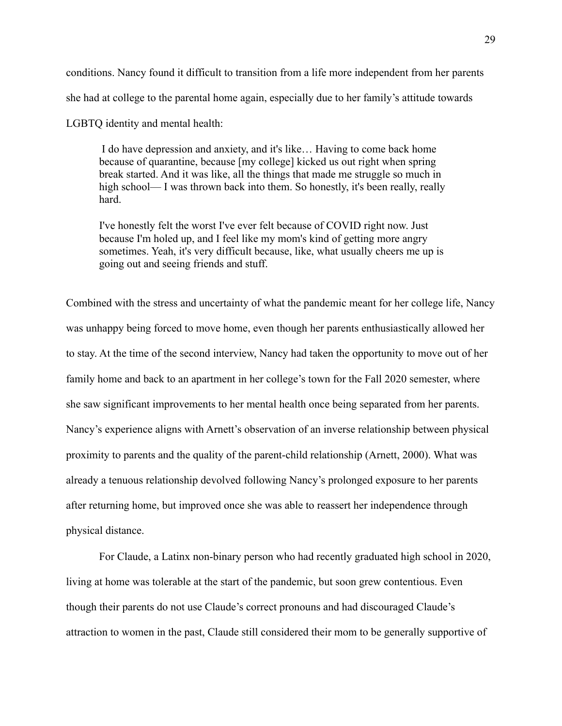conditions. Nancy found it difficult to transition from a life more independent from her parents she had at college to the parental home again, especially due to her family's attitude towards

LGBTQ identity and mental health:

I do have depression and anxiety, and it's like… Having to come back home because of quarantine, because [my college] kicked us out right when spring break started. And it was like, all the things that made me struggle so much in high school— I was thrown back into them. So honestly, it's been really, really hard.

I've honestly felt the worst I've ever felt because of COVID right now. Just because I'm holed up, and I feel like my mom's kind of getting more angry sometimes. Yeah, it's very difficult because, like, what usually cheers me up is going out and seeing friends and stuff.

Combined with the stress and uncertainty of what the pandemic meant for her college life, Nancy was unhappy being forced to move home, even though her parents enthusiastically allowed her to stay. At the time of the second interview, Nancy had taken the opportunity to move out of her family home and back to an apartment in her college's town for the Fall 2020 semester, where she saw significant improvements to her mental health once being separated from her parents. Nancy's experience aligns with Arnett's observation of an inverse relationship between physical proximity to parents and the quality of the parent-child relationship (Arnett, 2000). What was already a tenuous relationship devolved following Nancy's prolonged exposure to her parents after returning home, but improved once she was able to reassert her independence through physical distance.

For Claude, a Latinx non-binary person who had recently graduated high school in 2020, living at home was tolerable at the start of the pandemic, but soon grew contentious. Even though their parents do not use Claude's correct pronouns and had discouraged Claude's attraction to women in the past, Claude still considered their mom to be generally supportive of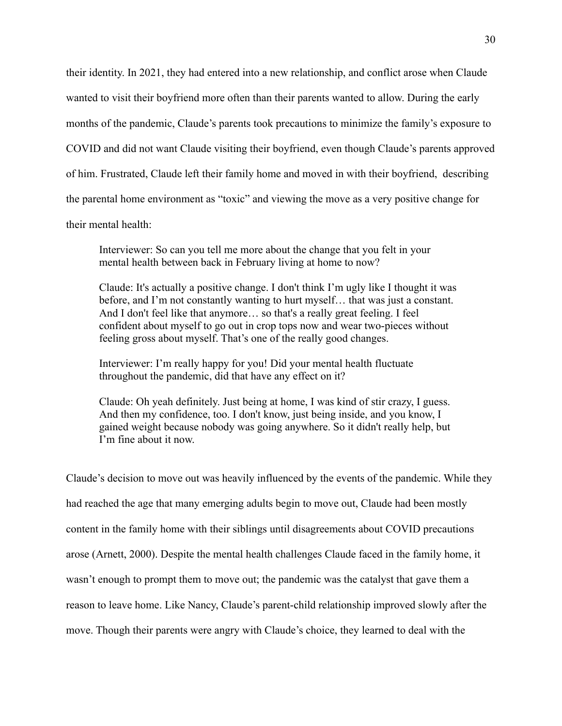their identity. In 2021, they had entered into a new relationship, and conflict arose when Claude wanted to visit their boyfriend more often than their parents wanted to allow. During the early months of the pandemic, Claude's parents took precautions to minimize the family's exposure to COVID and did not want Claude visiting their boyfriend, even though Claude's parents approved of him. Frustrated, Claude left their family home and moved in with their boyfriend, describing the parental home environment as "toxic" and viewing the move as a very positive change for their mental health:

Interviewer: So can you tell me more about the change that you felt in your mental health between back in February living at home to now?

Claude: It's actually a positive change. I don't think I'm ugly like I thought it was before, and I'm not constantly wanting to hurt myself… that was just a constant. And I don't feel like that anymore… so that's a really great feeling. I feel confident about myself to go out in crop tops now and wear two-pieces without feeling gross about myself. That's one of the really good changes.

Interviewer: I'm really happy for you! Did your mental health fluctuate throughout the pandemic, did that have any effect on it?

Claude: Oh yeah definitely. Just being at home, I was kind of stir crazy, I guess. And then my confidence, too. I don't know, just being inside, and you know, I gained weight because nobody was going anywhere. So it didn't really help, but I'm fine about it now.

Claude's decision to move out was heavily influenced by the events of the pandemic. While they had reached the age that many emerging adults begin to move out, Claude had been mostly content in the family home with their siblings until disagreements about COVID precautions arose (Arnett, 2000). Despite the mental health challenges Claude faced in the family home, it wasn't enough to prompt them to move out; the pandemic was the catalyst that gave them a reason to leave home. Like Nancy, Claude's parent-child relationship improved slowly after the move. Though their parents were angry with Claude's choice, they learned to deal with the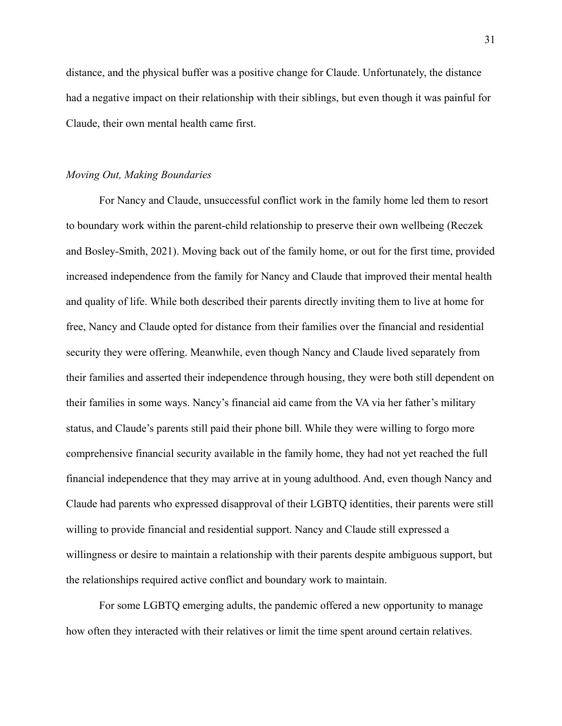distance, and the physical buffer was a positive change for Claude. Unfortunately, the distance had a negative impact on their relationship with their siblings, but even though it was painful for Claude, their own mental health came first.

#### *Moving Out, Making Boundaries*

For Nancy and Claude, unsuccessful conflict work in the family home led them to resort to boundary work within the parent-child relationship to preserve their own wellbeing (Reczek and Bosley-Smith, 2021). Moving back out of the family home, or out for the first time, provided increased independence from the family for Nancy and Claude that improved their mental health and quality of life. While both described their parents directly inviting them to live at home for free, Nancy and Claude opted for distance from their families over the financial and residential security they were offering. Meanwhile, even though Nancy and Claude lived separately from their families and asserted their independence through housing, they were both still dependent on their families in some ways. Nancy's financial aid came from the VA via her father's military status, and Claude's parents still paid their phone bill. While they were willing to forgo more comprehensive financial security available in the family home, they had not yet reached the full financial independence that they may arrive at in young adulthood. And, even though Nancy and Claude had parents who expressed disapproval of their LGBTQ identities, their parents were still willing to provide financial and residential support. Nancy and Claude still expressed a willingness or desire to maintain a relationship with their parents despite ambiguous support, but the relationships required active conflict and boundary work to maintain.

For some LGBTQ emerging adults, the pandemic offered a new opportunity to manage how often they interacted with their relatives or limit the time spent around certain relatives.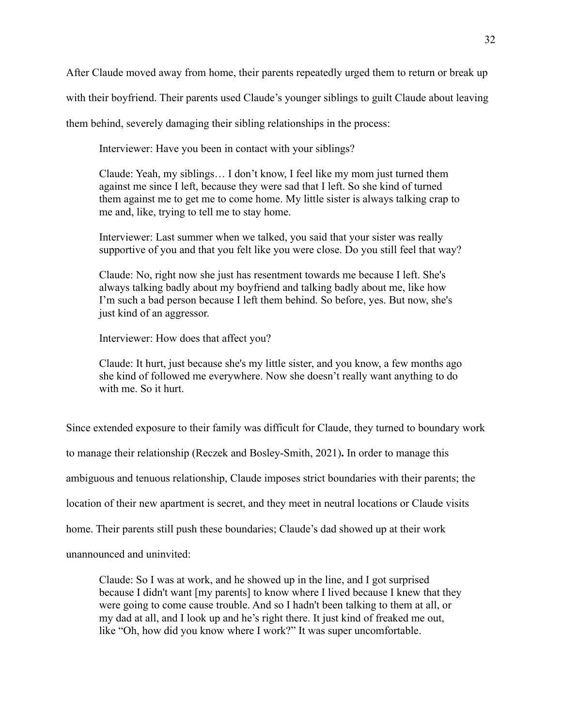After Claude moved away from home, their parents repeatedly urged them to return or break up

with their boyfriend. Their parents used Claude's younger siblings to guilt Claude about leaving

them behind, severely damaging their sibling relationships in the process:

Interviewer: Have you been in contact with your siblings?

Claude: Yeah, my siblings… I don't know, I feel like my mom just turned them against me since I left, because they were sad that I left. So she kind of turned them against me to get me to come home. My little sister is always talking crap to me and, like, trying to tell me to stay home.

Interviewer: Last summer when we talked, you said that your sister was really supportive of you and that you felt like you were close. Do you still feel that way?

Claude: No, right now she just has resentment towards me because I left. She's always talking badly about my boyfriend and talking badly about me, like how I'm such a bad person because I left them behind. So before, yes. But now, she's just kind of an aggressor.

Interviewer: How does that affect you?

Claude: It hurt, just because she's my little sister, and you know, a few months ago she kind of followed me everywhere. Now she doesn't really want anything to do with me. So it hurt.

Since extended exposure to their family was difficult for Claude, they turned to boundary work to manage their relationship (Reczek and Bosley-Smith, 2021)**.** In order to manage this ambiguous and tenuous relationship, Claude imposes strict boundaries with their parents; the location of their new apartment is secret, and they meet in neutral locations or Claude visits home. Their parents still push these boundaries; Claude's dad showed up at their work unannounced and uninvited:

Claude: So I was at work, and he showed up in the line, and I got surprised because I didn't want [my parents] to know where I lived because I knew that they were going to come cause trouble. And so I hadn't been talking to them at all, or my dad at all, and I look up and he's right there. It just kind of freaked me out, like "Oh, how did you know where I work?" It was super uncomfortable.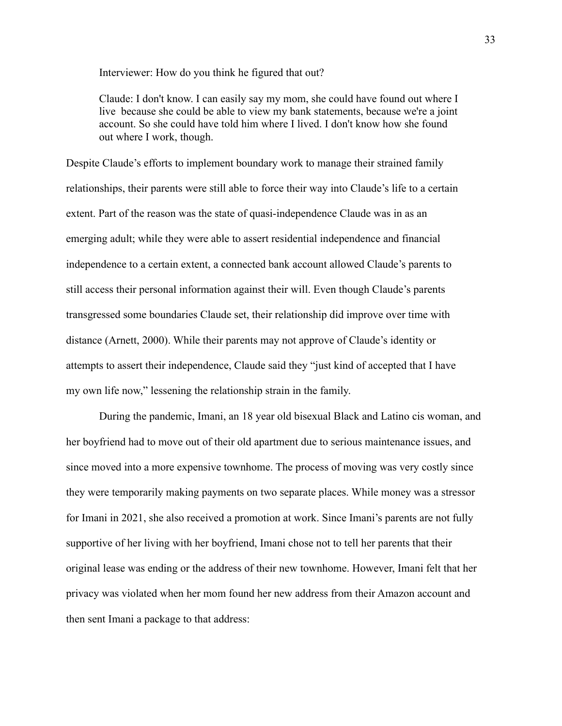Interviewer: How do you think he figured that out?

Claude: I don't know. I can easily say my mom, she could have found out where I live because she could be able to view my bank statements, because we're a joint account. So she could have told him where I lived. I don't know how she found out where I work, though.

Despite Claude's efforts to implement boundary work to manage their strained family relationships, their parents were still able to force their way into Claude's life to a certain extent. Part of the reason was the state of quasi-independence Claude was in as an emerging adult; while they were able to assert residential independence and financial independence to a certain extent, a connected bank account allowed Claude's parents to still access their personal information against their will. Even though Claude's parents transgressed some boundaries Claude set, their relationship did improve over time with distance (Arnett, 2000). While their parents may not approve of Claude's identity or attempts to assert their independence, Claude said they "just kind of accepted that I have my own life now," lessening the relationship strain in the family.

During the pandemic, Imani, an 18 year old bisexual Black and Latino cis woman, and her boyfriend had to move out of their old apartment due to serious maintenance issues, and since moved into a more expensive townhome. The process of moving was very costly since they were temporarily making payments on two separate places. While money was a stressor for Imani in 2021, she also received a promotion at work. Since Imani's parents are not fully supportive of her living with her boyfriend, Imani chose not to tell her parents that their original lease was ending or the address of their new townhome. However, Imani felt that her privacy was violated when her mom found her new address from their Amazon account and then sent Imani a package to that address: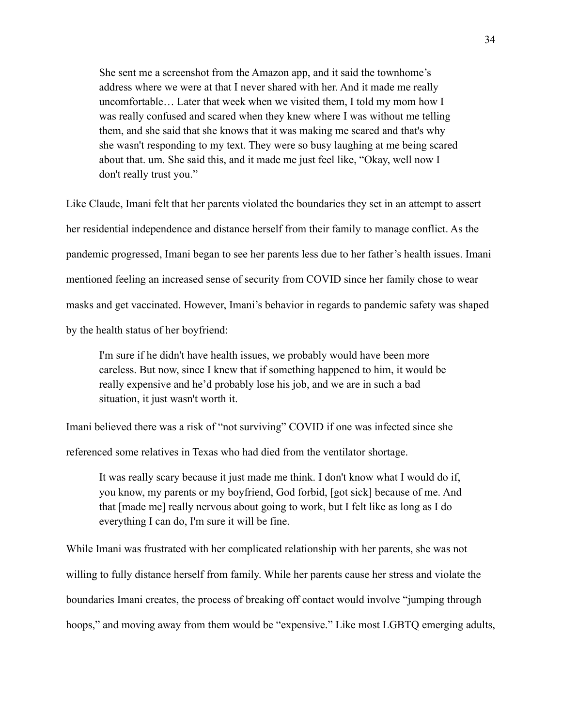She sent me a screenshot from the Amazon app, and it said the townhome's address where we were at that I never shared with her. And it made me really uncomfortable… Later that week when we visited them, I told my mom how I was really confused and scared when they knew where I was without me telling them, and she said that she knows that it was making me scared and that's why she wasn't responding to my text. They were so busy laughing at me being scared about that. um. She said this, and it made me just feel like, "Okay, well now I don't really trust you."

Like Claude, Imani felt that her parents violated the boundaries they set in an attempt to assert her residential independence and distance herself from their family to manage conflict. As the pandemic progressed, Imani began to see her parents less due to her father's health issues. Imani mentioned feeling an increased sense of security from COVID since her family chose to wear masks and get vaccinated. However, Imani's behavior in regards to pandemic safety was shaped by the health status of her boyfriend:

I'm sure if he didn't have health issues, we probably would have been more careless. But now, since I knew that if something happened to him, it would be really expensive and he'd probably lose his job, and we are in such a bad situation, it just wasn't worth it.

Imani believed there was a risk of "not surviving" COVID if one was infected since she

referenced some relatives in Texas who had died from the ventilator shortage.

It was really scary because it just made me think. I don't know what I would do if, you know, my parents or my boyfriend, God forbid, [got sick] because of me. And that [made me] really nervous about going to work, but I felt like as long as I do everything I can do, I'm sure it will be fine.

While Imani was frustrated with her complicated relationship with her parents, she was not willing to fully distance herself from family. While her parents cause her stress and violate the boundaries Imani creates, the process of breaking off contact would involve "jumping through hoops," and moving away from them would be "expensive." Like most LGBTQ emerging adults,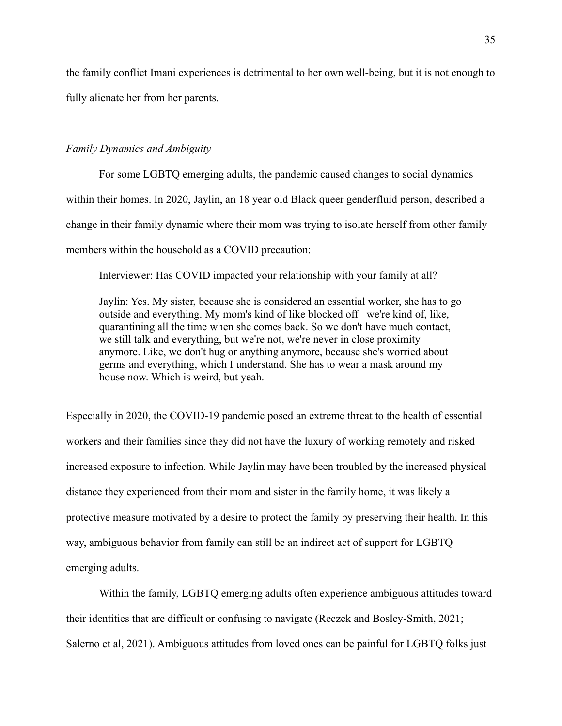the family conflict Imani experiences is detrimental to her own well-being, but it is not enough to fully alienate her from her parents.

# *Family Dynamics and Ambiguity*

For some LGBTQ emerging adults, the pandemic caused changes to social dynamics within their homes. In 2020, Jaylin, an 18 year old Black queer genderfluid person, described a change in their family dynamic where their mom was trying to isolate herself from other family members within the household as a COVID precaution:

Interviewer: Has COVID impacted your relationship with your family at all?

Jaylin: Yes. My sister, because she is considered an essential worker, she has to go outside and everything. My mom's kind of like blocked off– we're kind of, like, quarantining all the time when she comes back. So we don't have much contact, we still talk and everything, but we're not, we're never in close proximity anymore. Like, we don't hug or anything anymore, because she's worried about germs and everything, which I understand. She has to wear a mask around my house now. Which is weird, but yeah.

Especially in 2020, the COVID-19 pandemic posed an extreme threat to the health of essential workers and their families since they did not have the luxury of working remotely and risked increased exposure to infection. While Jaylin may have been troubled by the increased physical distance they experienced from their mom and sister in the family home, it was likely a protective measure motivated by a desire to protect the family by preserving their health. In this way, ambiguous behavior from family can still be an indirect act of support for LGBTQ emerging adults.

Within the family, LGBTQ emerging adults often experience ambiguous attitudes toward their identities that are difficult or confusing to navigate (Reczek and Bosley-Smith, 2021; Salerno et al, 2021). Ambiguous attitudes from loved ones can be painful for LGBTQ folks just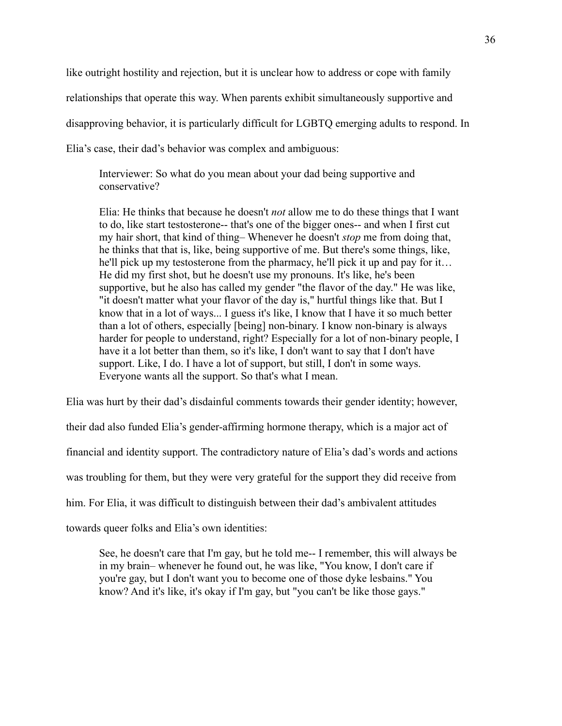like outright hostility and rejection, but it is unclear how to address or cope with family relationships that operate this way. When parents exhibit simultaneously supportive and disapproving behavior, it is particularly difficult for LGBTQ emerging adults to respond. In Elia's case, their dad's behavior was complex and ambiguous:

Interviewer: So what do you mean about your dad being supportive and conservative?

Elia: He thinks that because he doesn't *not* allow me to do these things that I want to do, like start testosterone-- that's one of the bigger ones-- and when I first cut my hair short, that kind of thing– Whenever he doesn't *stop* me from doing that, he thinks that that is, like, being supportive of me. But there's some things, like, he'll pick up my testosterone from the pharmacy, he'll pick it up and pay for it… He did my first shot, but he doesn't use my pronouns. It's like, he's been supportive, but he also has called my gender "the flavor of the day." He was like, "it doesn't matter what your flavor of the day is," hurtful things like that. But I know that in a lot of ways... I guess it's like, I know that I have it so much better than a lot of others, especially [being] non-binary. I know non-binary is always harder for people to understand, right? Especially for a lot of non-binary people, I have it a lot better than them, so it's like, I don't want to say that I don't have support. Like, I do. I have a lot of support, but still, I don't in some ways. Everyone wants all the support. So that's what I mean.

Elia was hurt by their dad's disdainful comments towards their gender identity; however,

their dad also funded Elia's gender-affirming hormone therapy, which is a major act of

financial and identity support. The contradictory nature of Elia's dad's words and actions

was troubling for them, but they were very grateful for the support they did receive from

him. For Elia, it was difficult to distinguish between their dad's ambivalent attitudes

towards queer folks and Elia's own identities:

See, he doesn't care that I'm gay, but he told me-- I remember, this will always be in my brain– whenever he found out, he was like, "You know, I don't care if you're gay, but I don't want you to become one of those dyke lesbains." You know? And it's like, it's okay if I'm gay, but "you can't be like those gays."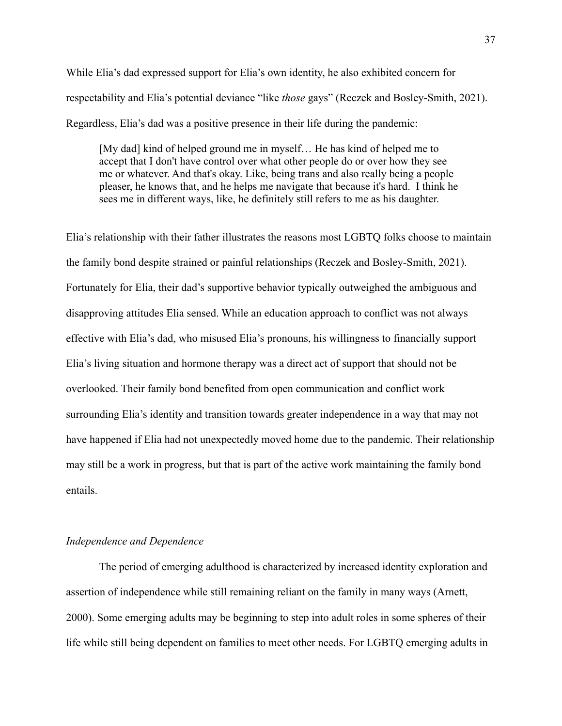While Elia's dad expressed support for Elia's own identity, he also exhibited concern for respectability and Elia's potential deviance "like *those* gays" (Reczek and Bosley-Smith, 2021). Regardless, Elia's dad was a positive presence in their life during the pandemic:

[My dad] kind of helped ground me in myself… He has kind of helped me to accept that I don't have control over what other people do or over how they see me or whatever. And that's okay. Like, being trans and also really being a people pleaser, he knows that, and he helps me navigate that because it's hard. I think he sees me in different ways, like, he definitely still refers to me as his daughter.

Elia's relationship with their father illustrates the reasons most LGBTQ folks choose to maintain the family bond despite strained or painful relationships (Reczek and Bosley-Smith, 2021). Fortunately for Elia, their dad's supportive behavior typically outweighed the ambiguous and disapproving attitudes Elia sensed. While an education approach to conflict was not always effective with Elia's dad, who misused Elia's pronouns, his willingness to financially support Elia's living situation and hormone therapy was a direct act of support that should not be overlooked. Their family bond benefited from open communication and conflict work surrounding Elia's identity and transition towards greater independence in a way that may not have happened if Elia had not unexpectedly moved home due to the pandemic. Their relationship may still be a work in progress, but that is part of the active work maintaining the family bond entails.

# *Independence and Dependence*

The period of emerging adulthood is characterized by increased identity exploration and assertion of independence while still remaining reliant on the family in many ways (Arnett, 2000). Some emerging adults may be beginning to step into adult roles in some spheres of their life while still being dependent on families to meet other needs. For LGBTQ emerging adults in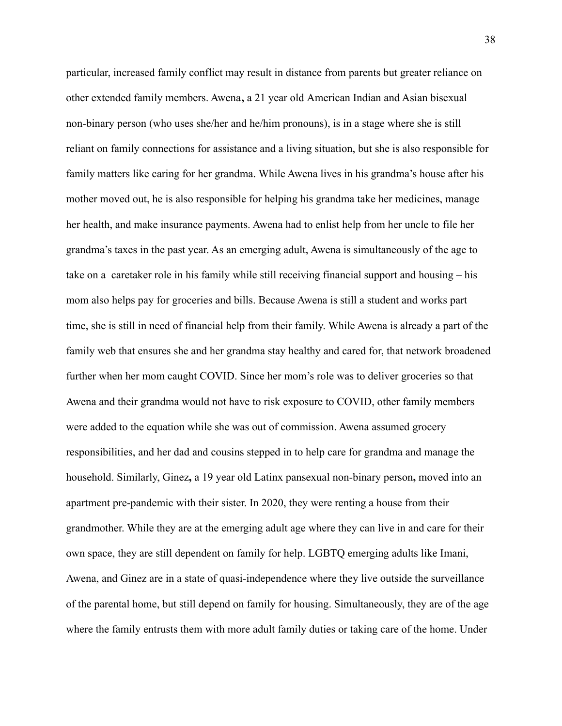particular, increased family conflict may result in distance from parents but greater reliance on other extended family members. Awena**,** a 21 year old American Indian and Asian bisexual non-binary person (who uses she/her and he/him pronouns), is in a stage where she is still reliant on family connections for assistance and a living situation, but she is also responsible for family matters like caring for her grandma. While Awena lives in his grandma's house after his mother moved out, he is also responsible for helping his grandma take her medicines, manage her health, and make insurance payments. Awena had to enlist help from her uncle to file her grandma's taxes in the past year. As an emerging adult, Awena is simultaneously of the age to take on a caretaker role in his family while still receiving financial support and housing – his mom also helps pay for groceries and bills. Because Awena is still a student and works part time, she is still in need of financial help from their family. While Awena is already a part of the family web that ensures she and her grandma stay healthy and cared for, that network broadened further when her mom caught COVID. Since her mom's role was to deliver groceries so that Awena and their grandma would not have to risk exposure to COVID, other family members were added to the equation while she was out of commission. Awena assumed grocery responsibilities, and her dad and cousins stepped in to help care for grandma and manage the household. Similarly, Ginez**,** a 19 year old Latinx pansexual non-binary person**,** moved into an apartment pre-pandemic with their sister. In 2020, they were renting a house from their grandmother. While they are at the emerging adult age where they can live in and care for their own space, they are still dependent on family for help. LGBTQ emerging adults like Imani, Awena, and Ginez are in a state of quasi-independence where they live outside the surveillance of the parental home, but still depend on family for housing. Simultaneously, they are of the age where the family entrusts them with more adult family duties or taking care of the home. Under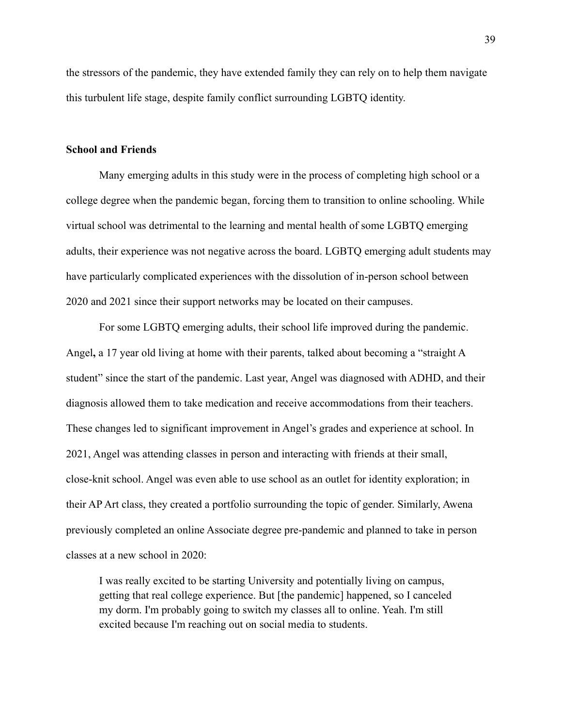the stressors of the pandemic, they have extended family they can rely on to help them navigate this turbulent life stage, despite family conflict surrounding LGBTQ identity.

#### **School and Friends**

Many emerging adults in this study were in the process of completing high school or a college degree when the pandemic began, forcing them to transition to online schooling. While virtual school was detrimental to the learning and mental health of some LGBTQ emerging adults, their experience was not negative across the board. LGBTQ emerging adult students may have particularly complicated experiences with the dissolution of in-person school between 2020 and 2021 since their support networks may be located on their campuses.

For some LGBTQ emerging adults, their school life improved during the pandemic. Angel**,** a 17 year old living at home with their parents, talked about becoming a "straight A student" since the start of the pandemic. Last year, Angel was diagnosed with ADHD, and their diagnosis allowed them to take medication and receive accommodations from their teachers. These changes led to significant improvement in Angel's grades and experience at school. In 2021, Angel was attending classes in person and interacting with friends at their small, close-knit school. Angel was even able to use school as an outlet for identity exploration; in their AP Art class, they created a portfolio surrounding the topic of gender. Similarly, Awena previously completed an online Associate degree pre-pandemic and planned to take in person classes at a new school in 2020:

I was really excited to be starting University and potentially living on campus, getting that real college experience. But [the pandemic] happened, so I canceled my dorm. I'm probably going to switch my classes all to online. Yeah. I'm still excited because I'm reaching out on social media to students.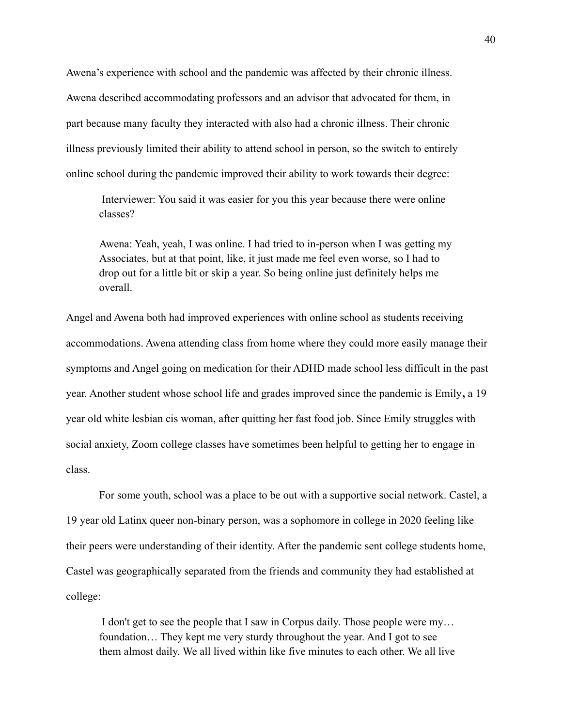Awena's experience with school and the pandemic was affected by their chronic illness. Awena described accommodating professors and an advisor that advocated for them, in part because many faculty they interacted with also had a chronic illness. Their chronic illness previously limited their ability to attend school in person, so the switch to entirely online school during the pandemic improved their ability to work towards their degree:

Interviewer: You said it was easier for you this year because there were online classes?

Awena: Yeah, yeah, I was online. I had tried to in-person when I was getting my Associates, but at that point, like, it just made me feel even worse, so I had to drop out for a little bit or skip a year. So being online just definitely helps me overall.

Angel and Awena both had improved experiences with online school as students receiving accommodations. Awena attending class from home where they could more easily manage their symptoms and Angel going on medication for their ADHD made school less difficult in the past year. Another student whose school life and grades improved since the pandemic is Emily**,** a 19 year old white lesbian cis woman, after quitting her fast food job. Since Emily struggles with social anxiety, Zoom college classes have sometimes been helpful to getting her to engage in class.

For some youth, school was a place to be out with a supportive social network. Castel, a 19 year old Latinx queer non-binary person, was a sophomore in college in 2020 feeling like their peers were understanding of their identity. After the pandemic sent college students home, Castel was geographically separated from the friends and community they had established at college:

I don't get to see the people that I saw in Corpus daily. Those people were my… foundation… They kept me very sturdy throughout the year. And I got to see them almost daily. We all lived within like five minutes to each other. We all live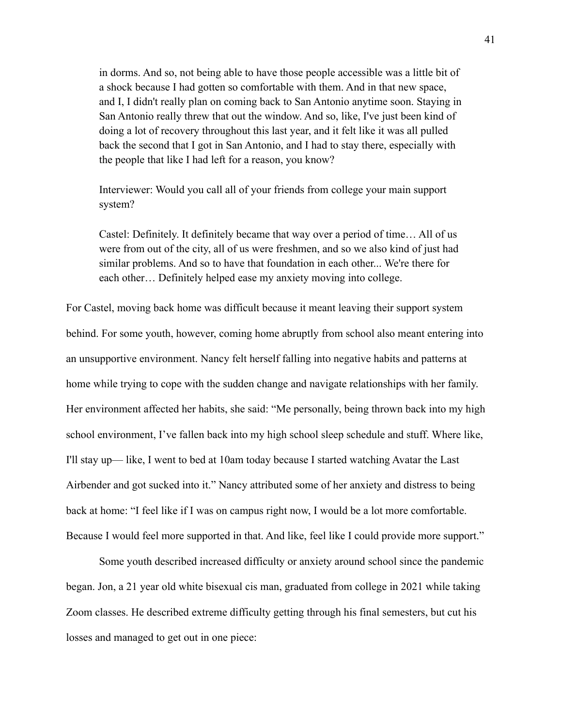in dorms. And so, not being able to have those people accessible was a little bit of a shock because I had gotten so comfortable with them. And in that new space, and I, I didn't really plan on coming back to San Antonio anytime soon. Staying in San Antonio really threw that out the window. And so, like, I've just been kind of doing a lot of recovery throughout this last year, and it felt like it was all pulled back the second that I got in San Antonio, and I had to stay there, especially with the people that like I had left for a reason, you know?

Interviewer: Would you call all of your friends from college your main support system?

Castel: Definitely. It definitely became that way over a period of time… All of us were from out of the city, all of us were freshmen, and so we also kind of just had similar problems. And so to have that foundation in each other... We're there for each other… Definitely helped ease my anxiety moving into college.

For Castel, moving back home was difficult because it meant leaving their support system behind. For some youth, however, coming home abruptly from school also meant entering into an unsupportive environment. Nancy felt herself falling into negative habits and patterns at home while trying to cope with the sudden change and navigate relationships with her family. Her environment affected her habits, she said: "Me personally, being thrown back into my high school environment, I've fallen back into my high school sleep schedule and stuff. Where like, I'll stay up— like, I went to bed at 10am today because I started watching Avatar the Last Airbender and got sucked into it." Nancy attributed some of her anxiety and distress to being back at home: "I feel like if I was on campus right now, I would be a lot more comfortable. Because I would feel more supported in that. And like, feel like I could provide more support."

Some youth described increased difficulty or anxiety around school since the pandemic began. Jon, a 21 year old white bisexual cis man, graduated from college in 2021 while taking Zoom classes. He described extreme difficulty getting through his final semesters, but cut his losses and managed to get out in one piece: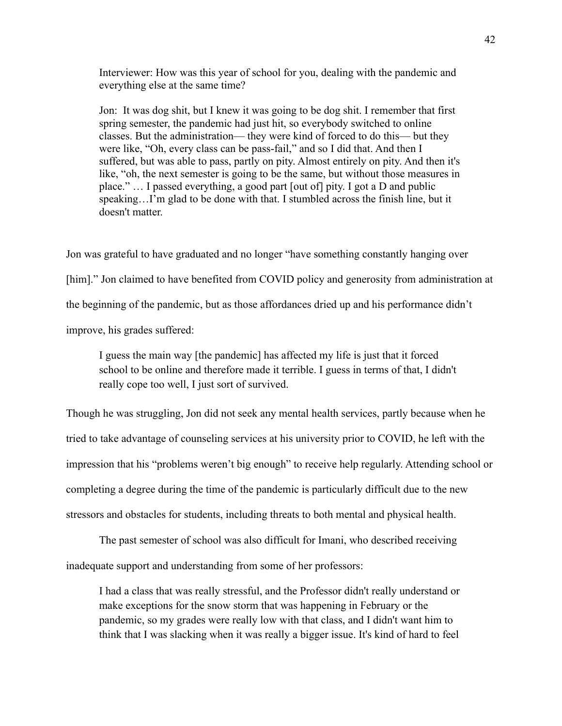Interviewer: How was this year of school for you, dealing with the pandemic and everything else at the same time?

Jon: It was dog shit, but I knew it was going to be dog shit. I remember that first spring semester, the pandemic had just hit, so everybody switched to online classes. But the administration— they were kind of forced to do this— but they were like, "Oh, every class can be pass-fail," and so I did that. And then I suffered, but was able to pass, partly on pity. Almost entirely on pity. And then it's like, "oh, the next semester is going to be the same, but without those measures in place." … I passed everything, a good part [out of] pity. I got a D and public speaking…I'm glad to be done with that. I stumbled across the finish line, but it doesn't matter.

Jon was grateful to have graduated and no longer "have something constantly hanging over [him]." Jon claimed to have benefited from COVID policy and generosity from administration at the beginning of the pandemic, but as those affordances dried up and his performance didn't improve, his grades suffered:

I guess the main way [the pandemic] has affected my life is just that it forced school to be online and therefore made it terrible. I guess in terms of that, I didn't really cope too well, I just sort of survived.

Though he was struggling, Jon did not seek any mental health services, partly because when he tried to take advantage of counseling services at his university prior to COVID, he left with the impression that his "problems weren't big enough" to receive help regularly. Attending school or completing a degree during the time of the pandemic is particularly difficult due to the new stressors and obstacles for students, including threats to both mental and physical health.

The past semester of school was also difficult for Imani, who described receiving inadequate support and understanding from some of her professors:

I had a class that was really stressful, and the Professor didn't really understand or make exceptions for the snow storm that was happening in February or the pandemic, so my grades were really low with that class, and I didn't want him to think that I was slacking when it was really a bigger issue. It's kind of hard to feel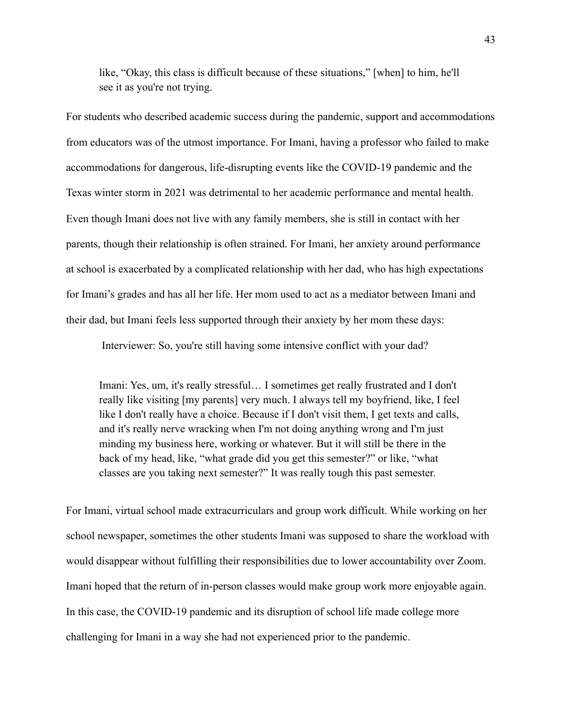like, "Okay, this class is difficult because of these situations," [when] to him, he'll see it as you're not trying.

For students who described academic success during the pandemic, support and accommodations from educators was of the utmost importance. For Imani, having a professor who failed to make accommodations for dangerous, life-disrupting events like the COVID-19 pandemic and the Texas winter storm in 2021 was detrimental to her academic performance and mental health. Even though Imani does not live with any family members, she is still in contact with her parents, though their relationship is often strained. For Imani, her anxiety around performance at school is exacerbated by a complicated relationship with her dad, who has high expectations for Imani's grades and has all her life. Her mom used to act as a mediator between Imani and their dad, but Imani feels less supported through their anxiety by her mom these days:

Interviewer: So, you're still having some intensive conflict with your dad?

Imani: Yes, um, it's really stressful… I sometimes get really frustrated and I don't really like visiting [my parents] very much. I always tell my boyfriend, like, I feel like I don't really have a choice. Because if I don't visit them, I get texts and calls, and it's really nerve wracking when I'm not doing anything wrong and I'm just minding my business here, working or whatever. But it will still be there in the back of my head, like, "what grade did you get this semester?" or like, "what classes are you taking next semester?" It was really tough this past semester.

For Imani, virtual school made extracurriculars and group work difficult. While working on her school newspaper, sometimes the other students Imani was supposed to share the workload with would disappear without fulfilling their responsibilities due to lower accountability over Zoom. Imani hoped that the return of in-person classes would make group work more enjoyable again. In this case, the COVID-19 pandemic and its disruption of school life made college more challenging for Imani in a way she had not experienced prior to the pandemic.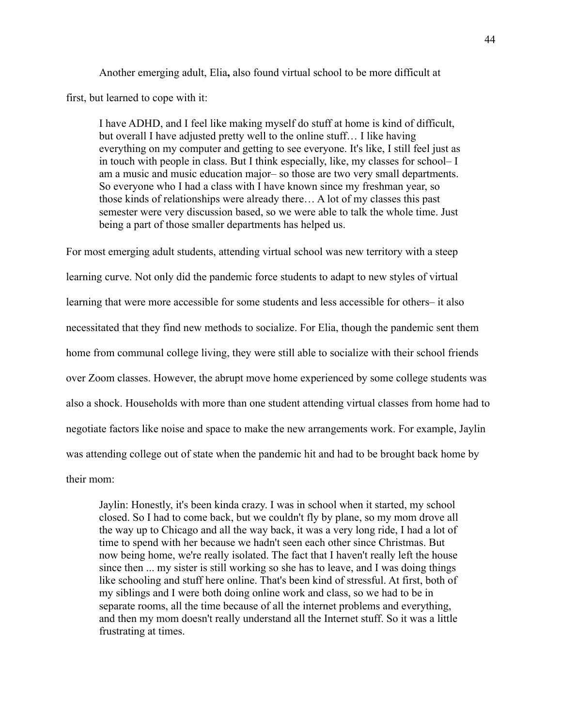Another emerging adult, Elia**,** also found virtual school to be more difficult at first, but learned to cope with it:

I have ADHD, and I feel like making myself do stuff at home is kind of difficult, but overall I have adjusted pretty well to the online stuff… I like having everything on my computer and getting to see everyone. It's like, I still feel just as in touch with people in class. But I think especially, like, my classes for school– I am a music and music education major– so those are two very small departments. So everyone who I had a class with I have known since my freshman year, so those kinds of relationships were already there… A lot of my classes this past semester were very discussion based, so we were able to talk the whole time. Just being a part of those smaller departments has helped us.

For most emerging adult students, attending virtual school was new territory with a steep learning curve. Not only did the pandemic force students to adapt to new styles of virtual learning that were more accessible for some students and less accessible for others– it also necessitated that they find new methods to socialize. For Elia, though the pandemic sent them home from communal college living, they were still able to socialize with their school friends over Zoom classes. However, the abrupt move home experienced by some college students was also a shock. Households with more than one student attending virtual classes from home had to negotiate factors like noise and space to make the new arrangements work. For example, Jaylin was attending college out of state when the pandemic hit and had to be brought back home by their mom:

Jaylin: Honestly, it's been kinda crazy. I was in school when it started, my school closed. So I had to come back, but we couldn't fly by plane, so my mom drove all the way up to Chicago and all the way back, it was a very long ride, I had a lot of time to spend with her because we hadn't seen each other since Christmas. But now being home, we're really isolated. The fact that I haven't really left the house since then ... my sister is still working so she has to leave, and I was doing things like schooling and stuff here online. That's been kind of stressful. At first, both of my siblings and I were both doing online work and class, so we had to be in separate rooms, all the time because of all the internet problems and everything, and then my mom doesn't really understand all the Internet stuff. So it was a little frustrating at times.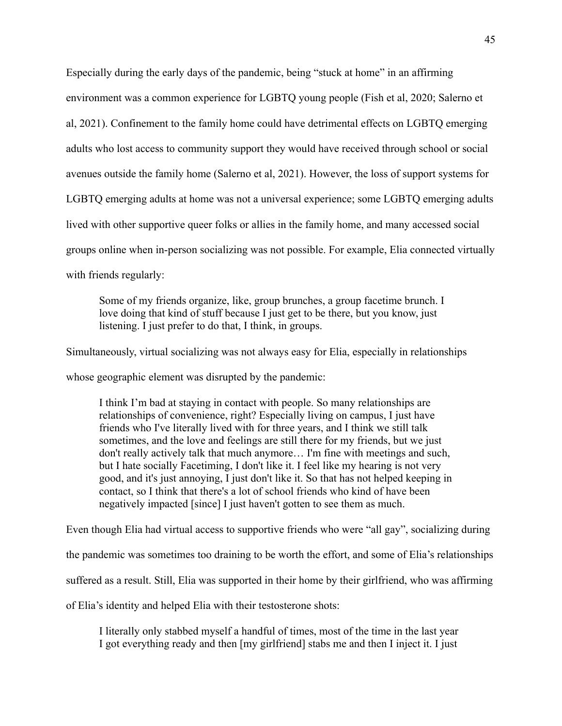Especially during the early days of the pandemic, being "stuck at home" in an affirming environment was a common experience for LGBTQ young people (Fish et al, 2020; Salerno et al, 2021). Confinement to the family home could have detrimental effects on LGBTQ emerging adults who lost access to community support they would have received through school or social avenues outside the family home (Salerno et al, 2021). However, the loss of support systems for LGBTQ emerging adults at home was not a universal experience; some LGBTQ emerging adults lived with other supportive queer folks or allies in the family home, and many accessed social groups online when in-person socializing was not possible. For example, Elia connected virtually with friends regularly:

Some of my friends organize, like, group brunches, a group facetime brunch. I love doing that kind of stuff because I just get to be there, but you know, just listening. I just prefer to do that, I think, in groups.

Simultaneously, virtual socializing was not always easy for Elia, especially in relationships

whose geographic element was disrupted by the pandemic:

I think I'm bad at staying in contact with people. So many relationships are relationships of convenience, right? Especially living on campus, I just have friends who I've literally lived with for three years, and I think we still talk sometimes, and the love and feelings are still there for my friends, but we just don't really actively talk that much anymore… I'm fine with meetings and such, but I hate socially Facetiming, I don't like it. I feel like my hearing is not very good, and it's just annoying, I just don't like it. So that has not helped keeping in contact, so I think that there's a lot of school friends who kind of have been negatively impacted [since] I just haven't gotten to see them as much.

Even though Elia had virtual access to supportive friends who were "all gay", socializing during the pandemic was sometimes too draining to be worth the effort, and some of Elia's relationships suffered as a result. Still, Elia was supported in their home by their girlfriend, who was affirming of Elia's identity and helped Elia with their testosterone shots:

I literally only stabbed myself a handful of times, most of the time in the last year I got everything ready and then [my girlfriend] stabs me and then I inject it. I just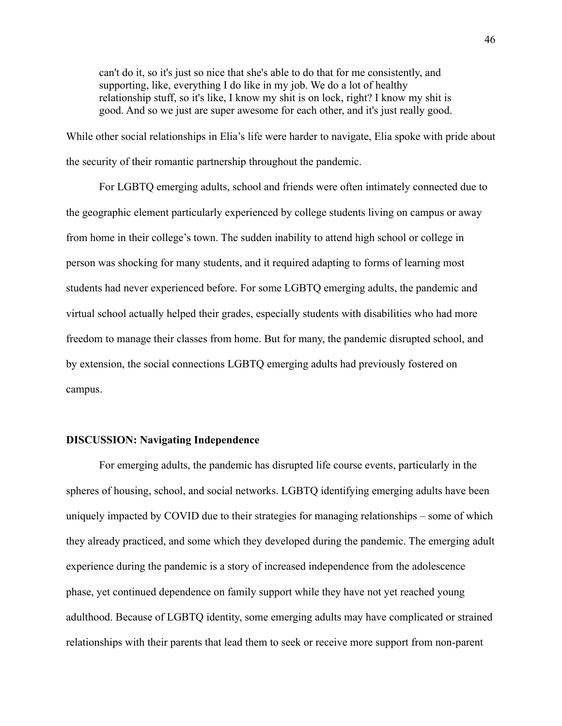can't do it, so it's just so nice that she's able to do that for me consistently, and supporting, like, everything I do like in my job. We do a lot of healthy relationship stuff, so it's like, I know my shit is on lock, right? I know my shit is good. And so we just are super awesome for each other, and it's just really good.

While other social relationships in Elia's life were harder to navigate, Elia spoke with pride about the security of their romantic partnership throughout the pandemic.

For LGBTQ emerging adults, school and friends were often intimately connected due to the geographic element particularly experienced by college students living on campus or away from home in their college's town. The sudden inability to attend high school or college in person was shocking for many students, and it required adapting to forms of learning most students had never experienced before. For some LGBTQ emerging adults, the pandemic and virtual school actually helped their grades, especially students with disabilities who had more freedom to manage their classes from home. But for many, the pandemic disrupted school, and by extension, the social connections LGBTQ emerging adults had previously fostered on campus.

# **DISCUSSION: Navigating Independence**

For emerging adults, the pandemic has disrupted life course events, particularly in the spheres of housing, school, and social networks. LGBTQ identifying emerging adults have been uniquely impacted by COVID due to their strategies for managing relationships – some of which they already practiced, and some which they developed during the pandemic. The emerging adult experience during the pandemic is a story of increased independence from the adolescence phase, yet continued dependence on family support while they have not yet reached young adulthood. Because of LGBTQ identity, some emerging adults may have complicated or strained relationships with their parents that lead them to seek or receive more support from non-parent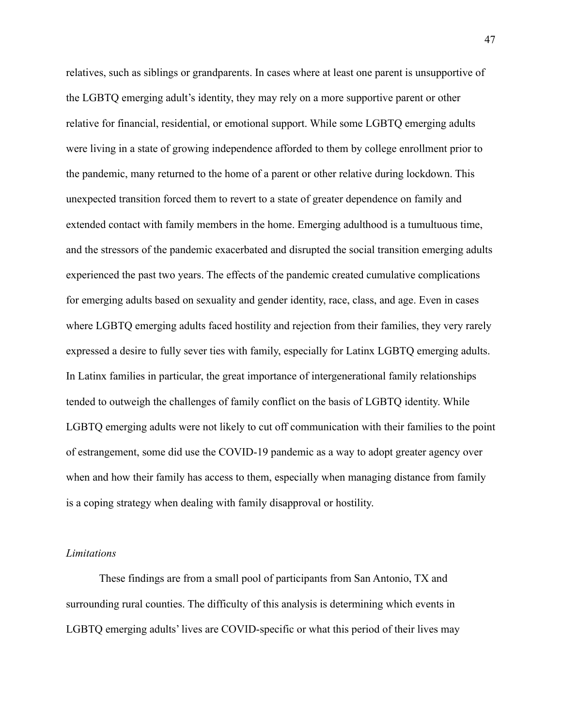relatives, such as siblings or grandparents. In cases where at least one parent is unsupportive of the LGBTQ emerging adult's identity, they may rely on a more supportive parent or other relative for financial, residential, or emotional support. While some LGBTQ emerging adults were living in a state of growing independence afforded to them by college enrollment prior to the pandemic, many returned to the home of a parent or other relative during lockdown. This unexpected transition forced them to revert to a state of greater dependence on family and extended contact with family members in the home. Emerging adulthood is a tumultuous time, and the stressors of the pandemic exacerbated and disrupted the social transition emerging adults experienced the past two years. The effects of the pandemic created cumulative complications for emerging adults based on sexuality and gender identity, race, class, and age. Even in cases where LGBTQ emerging adults faced hostility and rejection from their families, they very rarely expressed a desire to fully sever ties with family, especially for Latinx LGBTQ emerging adults. In Latinx families in particular, the great importance of intergenerational family relationships tended to outweigh the challenges of family conflict on the basis of LGBTQ identity. While LGBTQ emerging adults were not likely to cut off communication with their families to the point of estrangement, some did use the COVID-19 pandemic as a way to adopt greater agency over when and how their family has access to them, especially when managing distance from family is a coping strategy when dealing with family disapproval or hostility.

#### *Limitations*

These findings are from a small pool of participants from San Antonio, TX and surrounding rural counties. The difficulty of this analysis is determining which events in LGBTQ emerging adults' lives are COVID-specific or what this period of their lives may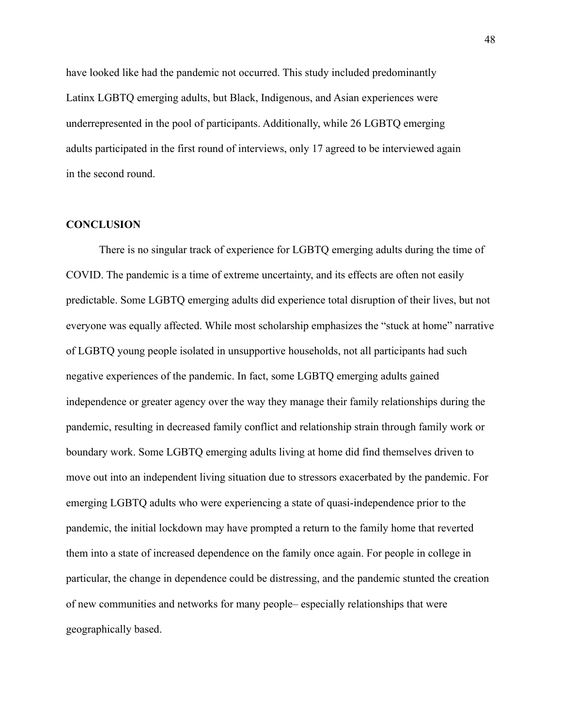have looked like had the pandemic not occurred. This study included predominantly Latinx LGBTQ emerging adults, but Black, Indigenous, and Asian experiences were underrepresented in the pool of participants. Additionally, while 26 LGBTQ emerging adults participated in the first round of interviews, only 17 agreed to be interviewed again in the second round.

# **CONCLUSION**

There is no singular track of experience for LGBTQ emerging adults during the time of COVID. The pandemic is a time of extreme uncertainty, and its effects are often not easily predictable. Some LGBTQ emerging adults did experience total disruption of their lives, but not everyone was equally affected. While most scholarship emphasizes the "stuck at home" narrative of LGBTQ young people isolated in unsupportive households, not all participants had such negative experiences of the pandemic. In fact, some LGBTQ emerging adults gained independence or greater agency over the way they manage their family relationships during the pandemic, resulting in decreased family conflict and relationship strain through family work or boundary work. Some LGBTQ emerging adults living at home did find themselves driven to move out into an independent living situation due to stressors exacerbated by the pandemic. For emerging LGBTQ adults who were experiencing a state of quasi-independence prior to the pandemic, the initial lockdown may have prompted a return to the family home that reverted them into a state of increased dependence on the family once again. For people in college in particular, the change in dependence could be distressing, and the pandemic stunted the creation of new communities and networks for many people– especially relationships that were geographically based.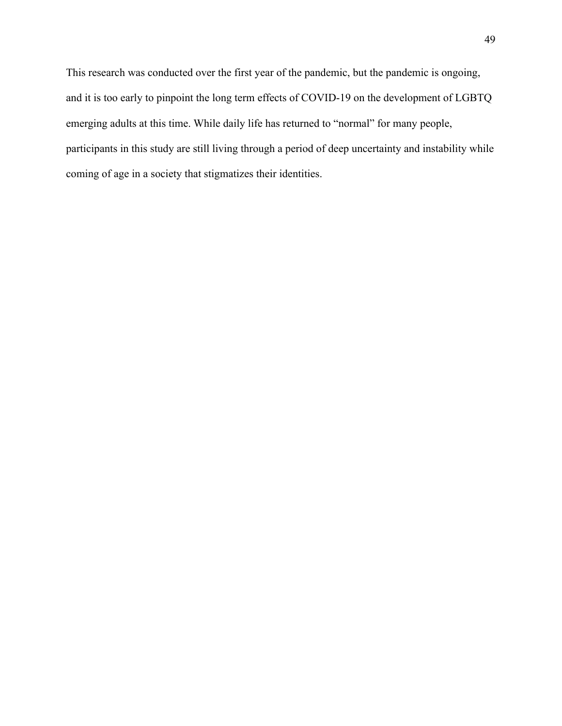This research was conducted over the first year of the pandemic, but the pandemic is ongoing, and it is too early to pinpoint the long term effects of COVID-19 on the development of LGBTQ emerging adults at this time. While daily life has returned to "normal" for many people, participants in this study are still living through a period of deep uncertainty and instability while coming of age in a society that stigmatizes their identities.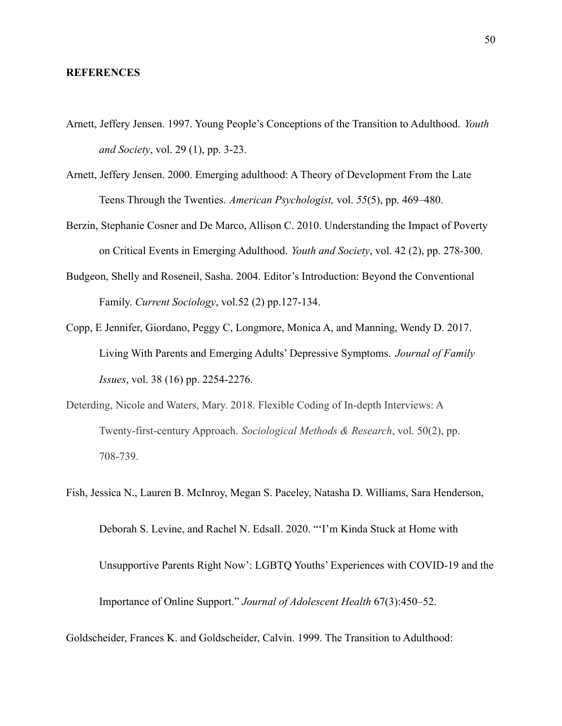#### **REFERENCES**

- Arnett, Jeffery Jensen. 1997. Young People's Conceptions of the Transition to Adulthood. *Youth and Society*, vol. 29 (1), pp. 3-23.
- Arnett, Jeffery Jensen. 2000. Emerging adulthood: A Theory of Development From the Late Teens Through the Twenties. *American Psychologist,* vol. *55*(5), pp. 469–480.
- Berzin, Stephanie Cosner and De Marco, Allison C. 2010. Understanding the Impact of Poverty on Critical Events in Emerging Adulthood. *Youth and Society*, vol. 42 (2), pp. 278-300.
- Budgeon, Shelly and Roseneil, Sasha. 2004. Editor's Introduction: Beyond the Conventional Family. *Current Sociology*, vol.52 (2) pp.127-134.
- Copp, E Jennifer, Giordano, Peggy C, Longmore, Monica A, and Manning, Wendy D. 2017. Living With Parents and Emerging Adults' Depressive Symptoms. *Journal of Family Issues*, vol. 38 (16) pp. 2254-2276.
- Deterding, Nicole and Waters, Mary. 2018. Flexible Coding of In-depth Interviews: A Twenty-first-century Approach. *Sociological Methods & Research*, vol. 50(2), pp. 708-739.
- Fish, Jessica N., Lauren B. McInroy, Megan S. Paceley, Natasha D. Williams, Sara Henderson, Deborah S. Levine, and Rachel N. Edsall. 2020. "'I'm Kinda Stuck at Home with Unsupportive Parents Right Now': LGBTQ Youths' Experiences with COVID-19 and the Importance of Online Support." *Journal of Adolescent Health* 67(3):450–52.

Goldscheider, Frances K. and Goldscheider, Calvin. 1999. The Transition to Adulthood: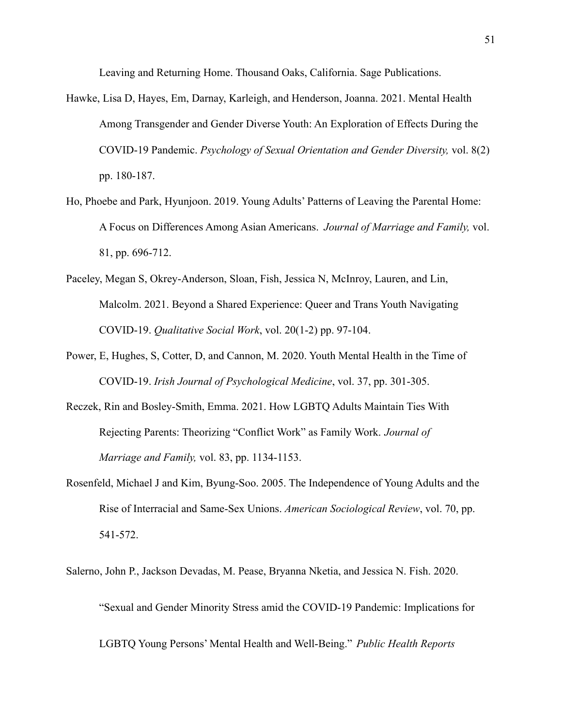Leaving and Returning Home. Thousand Oaks, California. Sage Publications.

- Hawke, Lisa D, Hayes, Em, Darnay, Karleigh, and Henderson, Joanna. 2021. Mental Health Among Transgender and Gender Diverse Youth: An Exploration of Effects During the COVID-19 Pandemic. *Psychology of Sexual Orientation and Gender Diversity,* vol. 8(2) pp. 180-187.
- Ho, Phoebe and Park, Hyunjoon. 2019. Young Adults' Patterns of Leaving the Parental Home: A Focus on Differences Among Asian Americans. *Journal of Marriage and Family,* vol. 81, pp. 696-712.
- Paceley, Megan S, Okrey-Anderson, Sloan, Fish, Jessica N, McInroy, Lauren, and Lin, Malcolm. 2021. Beyond a Shared Experience: Queer and Trans Youth Navigating COVID-19. *Qualitative Social Work*, vol. 20(1-2) pp. 97-104.
- Power, E, Hughes, S, Cotter, D, and Cannon, M. 2020. Youth Mental Health in the Time of COVID-19. *Irish Journal of Psychological Medicine*, vol. 37, pp. 301-305.
- Reczek, Rin and Bosley-Smith, Emma. 2021. How LGBTQ Adults Maintain Ties With Rejecting Parents: Theorizing "Conflict Work" as Family Work. *Journal of Marriage and Family,* vol. 83, pp. 1134-1153.
- Rosenfeld, Michael J and Kim, Byung-Soo. 2005. The Independence of Young Adults and the Rise of Interracial and Same-Sex Unions. *American Sociological Review*, vol. 70, pp. 541-572.
- Salerno, John P., Jackson Devadas, M. Pease, Bryanna Nketia, and Jessica N. Fish. 2020.

"Sexual and Gender Minority Stress amid the COVID-19 Pandemic: Implications for

LGBTQ Young Persons' Mental Health and Well-Being." *Public Health Reports*